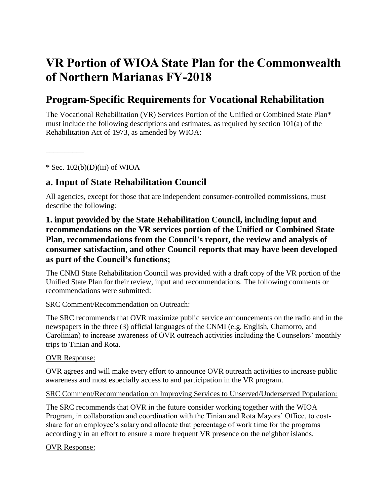# **VR Portion of WIOA State Plan for the Commonwealth of Northern Marianas FY-2018**

## **Program-Specific Requirements for Vocational Rehabilitation**

The Vocational Rehabilitation (VR) Services Portion of the Unified or Combined State Plan\* must include the following descriptions and estimates, as required by section 101(a) of the Rehabilitation Act of 1973, as amended by WIOA:

 $*$  Sec. 102(b)(D)(iii) of WIOA

 $\overline{\phantom{a}}$ 

### **a. Input of State Rehabilitation Council**

All agencies, except for those that are independent consumer-controlled commissions, must describe the following:

### **1. input provided by the State Rehabilitation Council, including input and recommendations on the VR services portion of the Unified or Combined State Plan, recommendations from the Council's report, the review and analysis of consumer satisfaction, and other Council reports that may have been developed as part of the Council's functions;**

The CNMI State Rehabilitation Council was provided with a draft copy of the VR portion of the Unified State Plan for their review, input and recommendations. The following comments or recommendations were submitted:

#### SRC Comment/Recommendation on Outreach:

The SRC recommends that OVR maximize public service announcements on the radio and in the newspapers in the three (3) official languages of the CNMI (e.g. English, Chamorro, and Carolinian) to increase awareness of OVR outreach activities including the Counselors' monthly trips to Tinian and Rota.

#### OVR Response:

OVR agrees and will make every effort to announce OVR outreach activities to increase public awareness and most especially access to and participation in the VR program.

#### SRC Comment/Recommendation on Improving Services to Unserved/Underserved Population:

The SRC recommends that OVR in the future consider working together with the WIOA Program, in collaboration and coordination with the Tinian and Rota Mayors' Office, to costshare for an employee's salary and allocate that percentage of work time for the programs accordingly in an effort to ensure a more frequent VR presence on the neighbor islands.

OVR Response: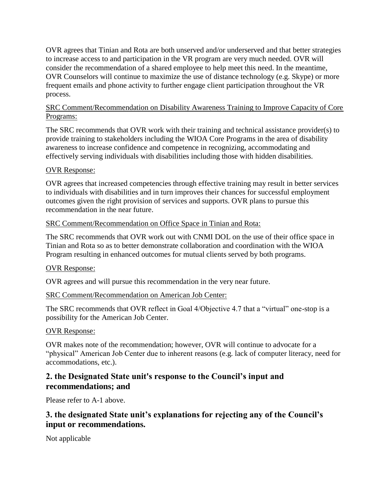OVR agrees that Tinian and Rota are both unserved and/or underserved and that better strategies to increase access to and participation in the VR program are very much needed. OVR will consider the recommendation of a shared employee to help meet this need. In the meantime, OVR Counselors will continue to maximize the use of distance technology (e.g. Skype) or more frequent emails and phone activity to further engage client participation throughout the VR process.

#### SRC Comment/Recommendation on Disability Awareness Training to Improve Capacity of Core Programs:

The SRC recommends that OVR work with their training and technical assistance provider(s) to provide training to stakeholders including the WIOA Core Programs in the area of disability awareness to increase confidence and competence in recognizing, accommodating and effectively serving individuals with disabilities including those with hidden disabilities.

#### OVR Response:

OVR agrees that increased competencies through effective training may result in better services to individuals with disabilities and in turn improves their chances for successful employment outcomes given the right provision of services and supports. OVR plans to pursue this recommendation in the near future.

#### SRC Comment/Recommendation on Office Space in Tinian and Rota:

The SRC recommends that OVR work out with CNMI DOL on the use of their office space in Tinian and Rota so as to better demonstrate collaboration and coordination with the WIOA Program resulting in enhanced outcomes for mutual clients served by both programs.

#### OVR Response:

OVR agrees and will pursue this recommendation in the very near future.

#### SRC Comment/Recommendation on American Job Center:

The SRC recommends that OVR reflect in Goal 4/Objective 4.7 that a "virtual" one-stop is a possibility for the American Job Center.

#### OVR Response:

OVR makes note of the recommendation; however, OVR will continue to advocate for a "physical" American Job Center due to inherent reasons (e.g. lack of computer literacy, need for accommodations, etc.).

#### **2. the Designated State unit's response to the Council's input and recommendations; and**

Please refer to A-1 above.

#### **3. the designated State unit's explanations for rejecting any of the Council's input or recommendations.**

Not applicable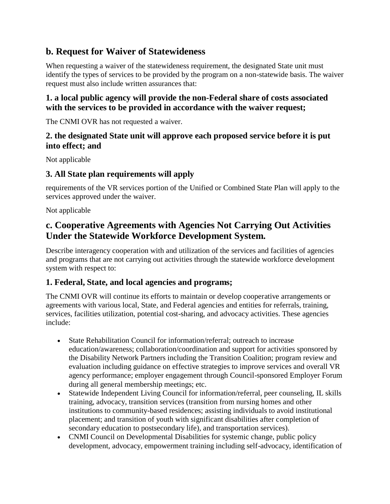## **b. Request for Waiver of Statewideness**

When requesting a waiver of the statewideness requirement, the designated State unit must identify the types of services to be provided by the program on a non-statewide basis. The waiver request must also include written assurances that:

### **1. a local public agency will provide the non-Federal share of costs associated with the services to be provided in accordance with the waiver request;**

The CNMI OVR has not requested a waiver.

### **2. the designated State unit will approve each proposed service before it is put into effect; and**

Not applicable

### **3. All State plan requirements will apply**

requirements of the VR services portion of the Unified or Combined State Plan will apply to the services approved under the waiver.

Not applicable

## **c. Cooperative Agreements with Agencies Not Carrying Out Activities Under the Statewide Workforce Development System.**

Describe interagency cooperation with and utilization of the services and facilities of agencies and programs that are not carrying out activities through the statewide workforce development system with respect to:

### **1. Federal, State, and local agencies and programs;**

The CNMI OVR will continue its efforts to maintain or develop cooperative arrangements or agreements with various local, State, and Federal agencies and entities for referrals, training, services, facilities utilization, potential cost-sharing, and advocacy activities. These agencies include:

- State Rehabilitation Council for information/referral; outreach to increase education/awareness; collaboration/coordination and support for activities sponsored by the Disability Network Partners including the Transition Coalition; program review and evaluation including guidance on effective strategies to improve services and overall VR agency performance; employer engagement through Council-sponsored Employer Forum during all general membership meetings; etc.
- Statewide Independent Living Council for information/referral, peer counseling, IL skills training, advocacy, transition services (transition from nursing homes and other institutions to community-based residences; assisting individuals to avoid institutional placement; and transition of youth with significant disabilities after completion of secondary education to postsecondary life), and transportation services).
- CNMI Council on Developmental Disabilities for systemic change, public policy development, advocacy, empowerment training including self-advocacy, identification of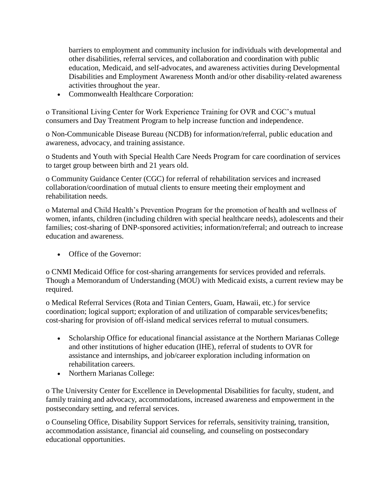barriers to employment and community inclusion for individuals with developmental and other disabilities, referral services, and collaboration and coordination with public education, Medicaid, and self-advocates, and awareness activities during Developmental Disabilities and Employment Awareness Month and/or other disability-related awareness activities throughout the year.

• Commonwealth Healthcare Corporation:

o Transitional Living Center for Work Experience Training for OVR and CGC's mutual consumers and Day Treatment Program to help increase function and independence.

o Non-Communicable Disease Bureau (NCDB) for information/referral, public education and awareness, advocacy, and training assistance.

o Students and Youth with Special Health Care Needs Program for care coordination of services to target group between birth and 21 years old.

o Community Guidance Center (CGC) for referral of rehabilitation services and increased collaboration/coordination of mutual clients to ensure meeting their employment and rehabilitation needs.

o Maternal and Child Health's Prevention Program for the promotion of health and wellness of women, infants, children (including children with special healthcare needs), adolescents and their families; cost-sharing of DNP-sponsored activities; information/referral; and outreach to increase education and awareness.

Office of the Governor:

o CNMI Medicaid Office for cost-sharing arrangements for services provided and referrals. Though a Memorandum of Understanding (MOU) with Medicaid exists, a current review may be required.

o Medical Referral Services (Rota and Tinian Centers, Guam, Hawaii, etc.) for service coordination; logical support; exploration of and utilization of comparable services/benefits; cost-sharing for provision of off-island medical services referral to mutual consumers.

- Scholarship Office for educational financial assistance at the Northern Marianas College and other institutions of higher education (IHE), referral of students to OVR for assistance and internships, and job/career exploration including information on rehabilitation careers.
- Northern Marianas College:

o The University Center for Excellence in Developmental Disabilities for faculty, student, and family training and advocacy, accommodations, increased awareness and empowerment in the postsecondary setting, and referral services.

o Counseling Office, Disability Support Services for referrals, sensitivity training, transition, accommodation assistance, financial aid counseling, and counseling on postsecondary educational opportunities.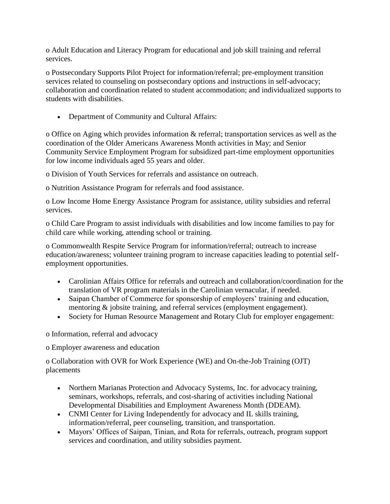o Adult Education and Literacy Program for educational and job skill training and referral services.

o Postsecondary Supports Pilot Project for information/referral; pre-employment transition services related to counseling on postsecondary options and instructions in self-advocacy; collaboration and coordination related to student accommodation; and individualized supports to students with disabilities.

Department of Community and Cultural Affairs:

o Office on Aging which provides information & referral; transportation services as well as the coordination of the Older Americans Awareness Month activities in May; and Senior Community Service Employment Program for subsidized part-time employment opportunities for low income individuals aged 55 years and older.

o Division of Youth Services for referrals and assistance on outreach.

o Nutrition Assistance Program for referrals and food assistance.

o Low Income Home Energy Assistance Program for assistance, utility subsidies and referral services.

o Child Care Program to assist individuals with disabilities and low income families to pay for child care while working, attending school or training.

o Commonwealth Respite Service Program for information/referral; outreach to increase education/awareness; volunteer training program to increase capacities leading to potential selfemployment opportunities.

- Carolinian Affairs Office for referrals and outreach and collaboration/coordination for the translation of VR program materials in the Carolinian vernacular, if needed.
- Saipan Chamber of Commerce for sponsorship of employers' training and education, mentoring  $&$  jobsite training, and referral services (employment engagement).
- Society for Human Resource Management and Rotary Club for employer engagement:

o Information, referral and advocacy

o Employer awareness and education

o Collaboration with OVR for Work Experience (WE) and On-the-Job Training (OJT) placements

- Northern Marianas Protection and Advocacy Systems, Inc. for advocacy training, seminars, workshops, referrals, and cost-sharing of activities including National Developmental Disabilities and Employment Awareness Month (DDEAM).
- CNMI Center for Living Independently for advocacy and IL skills training, information/referral, peer counseling, transition, and transportation.
- Mayors' Offices of Saipan, Tinian, and Rota for referrals, outreach, program support services and coordination, and utility subsidies payment.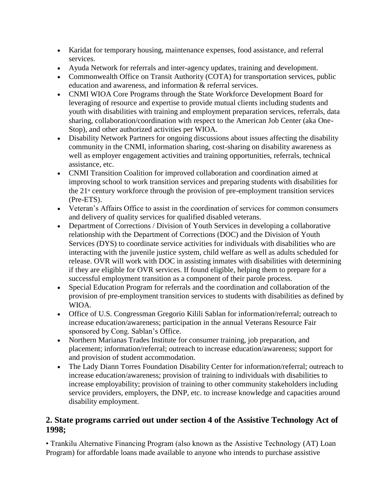- Karidat for temporary housing, maintenance expenses, food assistance, and referral services.
- Ayuda Network for referrals and inter-agency updates, training and development.
- Commonwealth Office on Transit Authority (COTA) for transportation services, public education and awareness, and information & referral services.
- CNMI WIOA Core Programs through the State Workforce Development Board for leveraging of resource and expertise to provide mutual clients including students and youth with disabilities with training and employment preparation services, referrals, data sharing, collaboration/coordination with respect to the American Job Center (aka One-Stop), and other authorized activities per WIOA.
- Disability Network Partners for ongoing discussions about issues affecting the disability community in the CNMI, information sharing, cost-sharing on disability awareness as well as employer engagement activities and training opportunities, referrals, technical assistance, etc.
- CNMI Transition Coalition for improved collaboration and coordination aimed at improving school to work transition services and preparing students with disabilities for the  $21<sup>st</sup>$  century workforce through the provision of pre-employment transition services (Pre-ETS).
- Veteran's Affairs Office to assist in the coordination of services for common consumers and delivery of quality services for qualified disabled veterans.
- Department of Corrections / Division of Youth Services in developing a collaborative relationship with the Department of Corrections (DOC) and the Division of Youth Services (DYS) to coordinate service activities for individuals with disabilities who are interacting with the juvenile justice system, child welfare as well as adults scheduled for release. OVR will work with DOC in assisting inmates with disabilities with determining if they are eligible for OVR services. If found eligible, helping them to prepare for a successful employment transition as a component of their parole process.
- Special Education Program for referrals and the coordination and collaboration of the provision of pre-employment transition services to students with disabilities as defined by WIOA.
- Office of U.S. Congressman Gregorio Kilili Sablan for information/referral; outreach to increase education/awareness; participation in the annual Veterans Resource Fair sponsored by Cong. Sablan's Office.
- Northern Marianas Trades Institute for consumer training, job preparation, and placement; information/referral; outreach to increase education/awareness; support for and provision of student accommodation.
- The Lady Diann Torres Foundation Disability Center for information/referral; outreach to increase education/awareness; provision of training to individuals with disabilities to increase employability; provision of training to other community stakeholders including service providers, employers, the DNP, etc. to increase knowledge and capacities around disability employment.

### **2. State programs carried out under section 4 of the Assistive Technology Act of 1998;**

• Trankilu Alternative Financing Program (also known as the Assistive Technology (AT) Loan Program) for affordable loans made available to anyone who intends to purchase assistive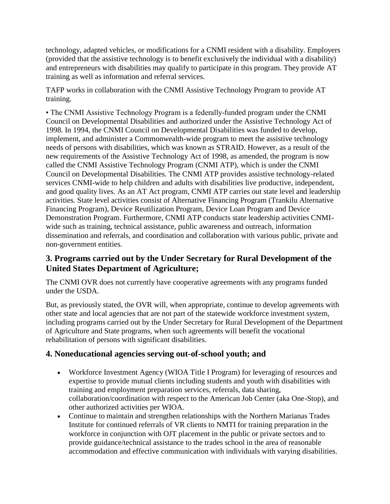technology, adapted vehicles, or modifications for a CNMI resident with a disability. Employers (provided that the assistive technology is to benefit exclusively the individual with a disability) and entrepreneurs with disabilities may qualify to participate in this program. They provide AT training as well as information and referral services.

TAFP works in collaboration with the CNMI Assistive Technology Program to provide AT training.

• The CNMI Assistive Technology Program is a federally-funded program under the CNMI Council on Developmental Disabilities and authorized under the Assistive Technology Act of 1998. In 1994, the CNMI Council on Developmental Disabilities was funded to develop, implement, and administer a Commonwealth-wide program to meet the assistive technology needs of persons with disabilities, which was known as STRAID. However, as a result of the new requirements of the Assistive Technology Act of 1998, as amended, the program is now called the CNMI Assistive Technology Program (CNMI ATP), which is under the CNMI Council on Developmental Disabilities. The CNMI ATP provides assistive technology-related services CNMI-wide to help children and adults with disabilities live productive, independent, and good quality lives. As an AT Act program, CNMI ATP carries out state level and leadership activities. State level activities consist of Alternative Financing Program (Trankilu Alternative Financing Program), Device Reutilization Program, Device Loan Program and Device Demonstration Program. Furthermore, CNMI ATP conducts state leadership activities CNMIwide such as training, technical assistance, public awareness and outreach, information dissemination and referrals, and coordination and collaboration with various public, private and non-government entities.

### **3. Programs carried out by the Under Secretary for Rural Development of the United States Department of Agriculture;**

The CNMI OVR does not currently have cooperative agreements with any programs funded under the USDA.

But, as previously stated, the OVR will, when appropriate, continue to develop agreements with other state and local agencies that are not part of the statewide workforce investment system, including programs carried out by the Under Secretary for Rural Development of the Department of Agriculture and State programs, when such agreements will benefit the vocational rehabilitation of persons with significant disabilities.

### **4. Noneducational agencies serving out-of-school youth; and**

- Workforce Investment Agency (WIOA Title I Program) for leveraging of resources and expertise to provide mutual clients including students and youth with disabilities with training and employment preparation services, referrals, data sharing, collaboration/coordination with respect to the American Job Center (aka One-Stop), and other authorized activities per WIOA.
- Continue to maintain and strengthen relationships with the Northern Marianas Trades Institute for continued referrals of VR clients to NMTI for training preparation in the workforce in conjunction with OJT placement in the public or private sectors and to provide guidance/technical assistance to the trades school in the area of reasonable accommodation and effective communication with individuals with varying disabilities.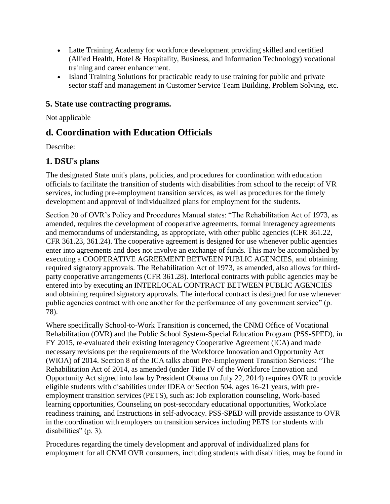- Latte Training Academy for workforce development providing skilled and certified (Allied Health, Hotel & Hospitality, Business, and Information Technology) vocational training and career enhancement.
- Island Training Solutions for practicable ready to use training for public and private sector staff and management in Customer Service Team Building, Problem Solving, etc.

### **5. State use contracting programs.**

Not applicable

## **d. Coordination with Education Officials**

Describe:

### **1. DSU's plans**

The designated State unit's plans, policies, and procedures for coordination with education officials to facilitate the transition of students with disabilities from school to the receipt of VR services, including pre-employment transition services, as well as procedures for the timely development and approval of individualized plans for employment for the students.

Section 20 of OVR's Policy and Procedures Manual states: "The Rehabilitation Act of 1973, as amended, requires the development of cooperative agreements, formal interagency agreements and memorandums of understanding, as appropriate, with other public agencies (CFR 361.22, CFR 361.23, 361.24). The cooperative agreement is designed for use whenever public agencies enter into agreements and does not involve an exchange of funds. This may be accomplished by executing a COOPERATIVE AGREEMENT BETWEEN PUBLIC AGENCIES, and obtaining required signatory approvals. The Rehabilitation Act of 1973, as amended, also allows for thirdparty cooperative arrangements (CFR 361.28). Interlocal contracts with public agencies may be entered into by executing an INTERLOCAL CONTRACT BETWEEN PUBLIC AGENCIES and obtaining required signatory approvals. The interlocal contract is designed for use whenever public agencies contract with one another for the performance of any government service" (p. 78).

Where specifically School-to-Work Transition is concerned, the CNMI Office of Vocational Rehabilitation (OVR) and the Public School System-Special Education Program (PSS-SPED), in FY 2015, re-evaluated their existing Interagency Cooperative Agreement (ICA) and made necessary revisions per the requirements of the Workforce Innovation and Opportunity Act (WIOA) of 2014. Section 8 of the ICA talks about Pre-Employment Transition Services: "The Rehabilitation Act of 2014, as amended (under Title IV of the Workforce Innovation and Opportunity Act signed into law by President Obama on July 22, 2014) requires OVR to provide eligible students with disabilities under IDEA or Section 504, ages 16-21 years, with preemployment transition services (PETS), such as: Job exploration counseling, Work-based learning opportunities, Counseling on post-secondary educational opportunities, Workplace readiness training, and Instructions in self-advocacy. PSS-SPED will provide assistance to OVR in the coordination with employers on transition services including PETS for students with disabilities" (p. 3).

Procedures regarding the timely development and approval of individualized plans for employment for all CNMI OVR consumers, including students with disabilities, may be found in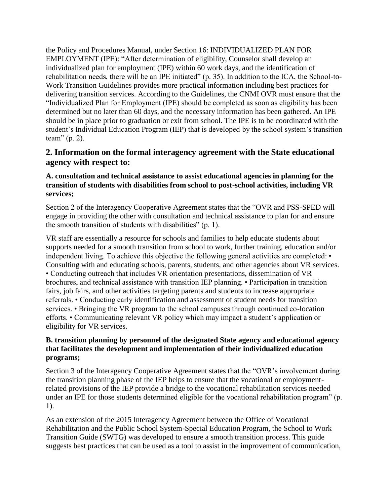the Policy and Procedures Manual, under Section 16: INDIVIDUALIZED PLAN FOR EMPLOYMENT (IPE): "After determination of eligibility, Counselor shall develop an individualized plan for employment (IPE) within 60 work days, and the identification of rehabilitation needs, there will be an IPE initiated" (p. 35). In addition to the ICA, the School-to-Work Transition Guidelines provides more practical information including best practices for delivering transition services. According to the Guidelines, the CNMI OVR must ensure that the "Individualized Plan for Employment (IPE) should be completed as soon as eligibility has been determined but no later than 60 days, and the necessary information has been gathered. An IPE should be in place prior to graduation or exit from school. The IPE is to be coordinated with the student's Individual Education Program (IEP) that is developed by the school system's transition team" (p. 2).

### **2. Information on the formal interagency agreement with the State educational agency with respect to:**

#### **A. consultation and technical assistance to assist educational agencies in planning for the transition of students with disabilities from school to post-school activities, including VR services;**

Section 2 of the Interagency Cooperative Agreement states that the "OVR and PSS-SPED will engage in providing the other with consultation and technical assistance to plan for and ensure the smooth transition of students with disabilities" (p. 1).

VR staff are essentially a resource for schools and families to help educate students about supports needed for a smooth transition from school to work, further training, education and/or independent living. To achieve this objective the following general activities are completed: • Consulting with and educating schools, parents, students, and other agencies about VR services. • Conducting outreach that includes VR orientation presentations, dissemination of VR brochures, and technical assistance with transition IEP planning. • Participation in transition fairs, job fairs, and other activities targeting parents and students to increase appropriate referrals. • Conducting early identification and assessment of student needs for transition services. • Bringing the VR program to the school campuses through continued co-location efforts. • Communicating relevant VR policy which may impact a student's application or eligibility for VR services.

#### **B. transition planning by personnel of the designated State agency and educational agency that facilitates the development and implementation of their individualized education programs;**

Section 3 of the Interagency Cooperative Agreement states that the "OVR's involvement during the transition planning phase of the IEP helps to ensure that the vocational or employmentrelated provisions of the IEP provide a bridge to the vocational rehabilitation services needed under an IPE for those students determined eligible for the vocational rehabilitation program" (p. 1).

As an extension of the 2015 Interagency Agreement between the Office of Vocational Rehabilitation and the Public School System-Special Education Program, the School to Work Transition Guide (SWTG) was developed to ensure a smooth transition process. This guide suggests best practices that can be used as a tool to assist in the improvement of communication,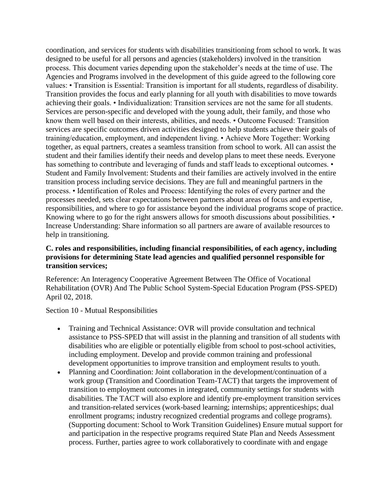coordination, and services for students with disabilities transitioning from school to work. It was designed to be useful for all persons and agencies (stakeholders) involved in the transition process. This document varies depending upon the stakeholder's needs at the time of use. The Agencies and Programs involved in the development of this guide agreed to the following core values: • Transition is Essential: Transition is important for all students, regardless of disability. Transition provides the focus and early planning for all youth with disabilities to move towards achieving their goals. • Individualization: Transition services are not the same for all students. Services are person-specific and developed with the young adult, their family, and those who know them well based on their interests, abilities, and needs. • Outcome Focused: Transition services are specific outcomes driven activities designed to help students achieve their goals of training/education, employment, and independent living. • Achieve More Together: Working together, as equal partners, creates a seamless transition from school to work. All can assist the student and their families identify their needs and develop plans to meet these needs. Everyone has something to contribute and leveraging of funds and staff leads to exceptional outcomes. • Student and Family Involvement: Students and their families are actively involved in the entire transition process including service decisions. They are full and meaningful partners in the process. • Identification of Roles and Process: Identifying the roles of every partner and the processes needed, sets clear expectations between partners about areas of focus and expertise, responsibilities, and where to go for assistance beyond the individual programs scope of practice. Knowing where to go for the right answers allows for smooth discussions about possibilities. • Increase Understanding: Share information so all partners are aware of available resources to help in transitioning.

#### **C. roles and responsibilities, including financial responsibilities, of each agency, including provisions for determining State lead agencies and qualified personnel responsible for transition services;**

Reference: An Interagency Cooperative Agreement Between The Office of Vocational Rehabilitation (OVR) And The Public School System-Special Education Program (PSS-SPED) April 02, 2018.

#### Section 10 - Mutual Responsibilities

- Training and Technical Assistance: OVR will provide consultation and technical assistance to PSS-SPED that will assist in the planning and transition of all students with disabilities who are eligible or potentially eligible from school to post-school activities, including employment. Develop and provide common training and professional development opportunities to improve transition and employment results to youth.
- Planning and Coordination: Joint collaboration in the development/continuation of a work group (Transition and Coordination Team-TACT) that targets the improvement of transition to employment outcomes in integrated, community settings for students with disabilities. The TACT will also explore and identify pre-employment transition services and transition-related services (work-based learning; internships; apprenticeships; dual enrollment programs; industry recognized credential programs and college programs). (Supporting document: School to Work Transition Guidelines) Ensure mutual support for and participation in the respective programs required State Plan and Needs Assessment process. Further, parties agree to work collaboratively to coordinate with and engage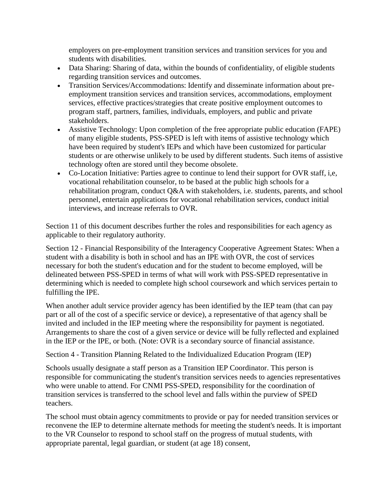employers on pre-employment transition services and transition services for you and students with disabilities.

- Data Sharing: Sharing of data, within the bounds of confidentiality, of eligible students regarding transition services and outcomes.
- Transition Services/Accommodations: Identify and disseminate information about preemployment transition services and transition services, accommodations, employment services, effective practices/strategies that create positive employment outcomes to program staff, partners, families, individuals, employers, and public and private stakeholders.
- Assistive Technology: Upon completion of the free appropriate public education (FAPE) of many eligible students, PSS-SPED is left with items of assistive technology which have been required by student's IEPs and which have been customized for particular students or are otherwise unlikely to be used by different students. Such items of assistive technology often are stored until they become obsolete.
- Co-Location Initiative: Parties agree to continue to lend their support for OVR staff, i,e, vocational rehabilitation counselor, to be based at the public high schools for a rehabilitation program, conduct Q&A with stakeholders, i.e. students, parents, and school personnel, entertain applications for vocational rehabilitation services, conduct initial interviews, and increase referrals to OVR.

Section 11 of this document describes further the roles and responsibilities for each agency as applicable to their regulatory authority.

Section 12 - Financial Responsibility of the Interagency Cooperative Agreement States: When a student with a disability is both in school and has an IPE with OVR, the cost of services necessary for both the student's education and for the student to become employed, will be delineated between PSS-SPED in terms of what will work with PSS-SPED representative in determining which is needed to complete high school coursework and which services pertain to fulfilling the IPE.

When another adult service provider agency has been identified by the IEP team (that can pay part or all of the cost of a specific service or device), a representative of that agency shall be invited and included in the IEP meeting where the responsibility for payment is negotiated. Arrangements to share the cost of a given service or device will be fully reflected and explained in the IEP or the IPE, or both. (Note: OVR is a secondary source of financial assistance.

Section 4 - Transition Planning Related to the Individualized Education Program (IEP)

Schools usually designate a staff person as a Transition IEP Coordinator. This person is responsible for communicating the student's transition services needs to agencies representatives who were unable to attend. For CNMI PSS-SPED, responsibility for the coordination of transition services is transferred to the school level and falls within the purview of SPED teachers.

The school must obtain agency commitments to provide or pay for needed transition services or reconvene the IEP to determine alternate methods for meeting the student's needs. It is important to the VR Counselor to respond to school staff on the progress of mutual students, with appropriate parental, legal guardian, or student (at age 18) consent,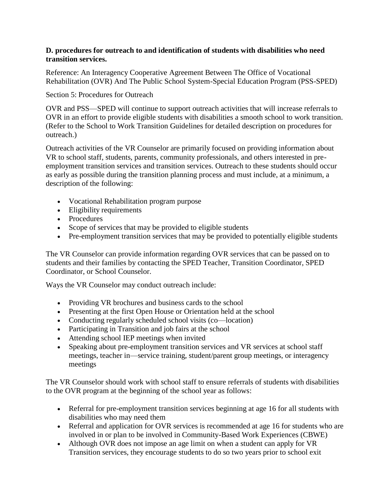#### **D. procedures for outreach to and identification of students with disabilities who need transition services.**

Reference: An Interagency Cooperative Agreement Between The Office of Vocational Rehabilitation (OVR) And The Public School System-Special Education Program (PSS-SPED)

Section 5: Procedures for Outreach

OVR and PSS—SPED will continue to support outreach activities that will increase referrals to OVR in an effort to provide eligible students with disabilities a smooth school to work transition. (Refer to the School to Work Transition Guidelines for detailed description on procedures for outreach.)

Outreach activities of the VR Counselor are primarily focused on providing information about VR to school staff, students, parents, community professionals, and others interested in preemployment transition services and transition services. Outreach to these students should occur as early as possible during the transition planning process and must include, at a minimum, a description of the following:

- Vocational Rehabilitation program purpose
- Eligibility requirements
- Procedures
- Scope of services that may be provided to eligible students
- Pre-employment transition services that may be provided to potentially eligible students

The VR Counselor can provide information regarding OVR services that can be passed on to students and their families by contacting the SPED Teacher, Transition Coordinator, SPED Coordinator, or School Counselor.

Ways the VR Counselor may conduct outreach include:

- Providing VR brochures and business cards to the school
- Presenting at the first Open House or Orientation held at the school
- Conducting regularly scheduled school visits (co—location)
- Participating in Transition and job fairs at the school
- Attending school IEP meetings when invited
- Speaking about pre-employment transition services and VR services at school staff meetings, teacher in—service training, student/parent group meetings, or interagency meetings

The VR Counselor should work with school staff to ensure referrals of students with disabilities to the OVR program at the beginning of the school year as follows:

- Referral for pre-employment transition services beginning at age 16 for all students with disabilities who may need them
- Referral and application for OVR services is recommended at age 16 for students who are involved in or plan to be involved in Community-Based Work Experiences (CBWE)
- Although OVR does not impose an age limit on when a student can apply for VR Transition services, they encourage students to do so two years prior to school exit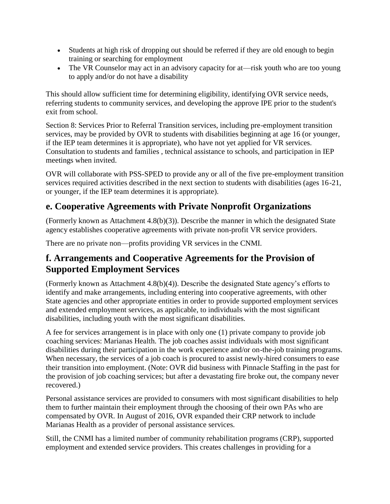- Students at high risk of dropping out should be referred if they are old enough to begin training or searching for employment
- The VR Counselor may act in an advisory capacity for at—risk youth who are too young to apply and/or do not have a disability

This should allow sufficient time for determining eligibility, identifying OVR service needs, referring students to community services, and developing the approve IPE prior to the student's exit from school.

Section 8: Services Prior to Referral Transition services, including pre-employment transition services, may be provided by OVR to students with disabilities beginning at age 16 (or younger, if the IEP team determines it is appropriate), who have not yet applied for VR services. Consultation to students and families , technical assistance to schools, and participation in IEP meetings when invited.

OVR will collaborate with PSS-SPED to provide any or all of the five pre-employment transition services required activities described in the next section to students with disabilities (ages 16-21, or younger, if the IEP team determines it is appropriate).

## **e. Cooperative Agreements with Private Nonprofit Organizations**

(Formerly known as Attachment 4.8(b)(3)). Describe the manner in which the designated State agency establishes cooperative agreements with private non-profit VR service providers.

There are no private non—profits providing VR services in the CNMI.

## **f. Arrangements and Cooperative Agreements for the Provision of Supported Employment Services**

(Formerly known as Attachment 4.8(b)(4)). Describe the designated State agency's efforts to identify and make arrangements, including entering into cooperative agreements, with other State agencies and other appropriate entities in order to provide supported employment services and extended employment services, as applicable, to individuals with the most significant disabilities, including youth with the most significant disabilities.

A fee for services arrangement is in place with only one (1) private company to provide job coaching services: Marianas Health. The job coaches assist individuals with most significant disabilities during their participation in the work experience and/or on-the-job training programs. When necessary, the services of a job coach is procured to assist newly-hired consumers to ease their transition into employment. (Note: OVR did business with Pinnacle Staffing in the past for the provision of job coaching services; but after a devastating fire broke out, the company never recovered.)

Personal assistance services are provided to consumers with most significant disabilities to help them to further maintain their employment through the choosing of their own PAs who are compensated by OVR. In August of 2016, OVR expanded their CRP network to include Marianas Health as a provider of personal assistance services.

Still, the CNMI has a limited number of community rehabilitation programs (CRP), supported employment and extended service providers. This creates challenges in providing for a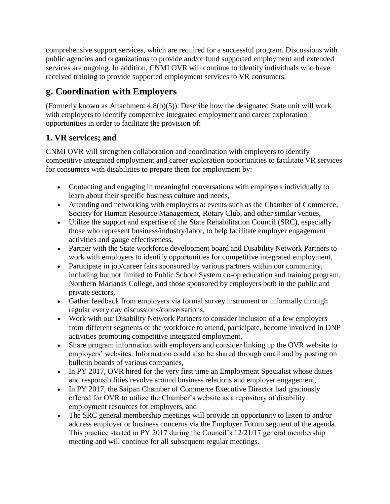comprehensive support services, which are required for a successful program. Discussions with public agencies and organizations to provide and/or fund supported employment and extended services are ongoing. In addition, CNMI OVR will continue to identify individuals who have received training to provide supported employment services to VR consumers.

## **g. Coordination with Employers**

(Formerly known as Attachment 4.8(b)(5)). Describe how the designated State unit will work with employers to identify competitive integrated employment and career exploration opportunities in order to facilitate the provision of:

### **1. VR services; and**

CNMI OVR will strengthen collaboration and coordination with employers to identify competitive integrated employment and career exploration opportunities to facilitate VR services for consumers with disabilities to prepare them for employment by:

- Contacting and engaging in meaningful conversations with employers individually to learn about their specific business culture and needs,
- Attending and networking with employers at events such as the Chamber of Commerce, Society for Human Resource Management, Rotary Club, and other similar venues,
- Utilize the support and expertise of the State Rehabilitation Council (SRC), especially those who represent business/industry/labor, to help facilitate employer engagement activities and gauge effectiveness,
- Partner with the State workforce development board and Disability Network Partners to work with employers to identify opportunities for competitive integrated employment,
- Participate in job/career fairs sponsored by various partners within our community, including but not limited to Public School System co-op education and training program, Northern Marianas College, and those sponsored by employers both in the public and private sectors,
- Gather feedback from employers via formal survey instrument or informally through regular every day discussions/conversations,
- Work with our Disability Network Partners to consider inclusion of a few employers from different segments of the workforce to attend, participate, become involved in DNP activities promoting competitive integrated employment,
- Share program information with employers and consider linking up the OVR website to employers' websites. Information could also be shared through email and by posting on bulletin boards of various companies,
- In PY 2017, OVR hired for the very first time an Employment Specialist whose duties and responsibilities revolve around business relations and employer engagement,
- In PY 2017, the Saipan Chamber of Commerce Executive Director had graciously offered for OVR to utilize the Chamber's website as a repository of disability employment resources for employers, and
- The SRC general membership meetings will provide an opportunity to listen to and/or address employer or business concerns via the Employer Forum segment of the agenda. This practice started in PY 2017 during the Council's 12/21/17 general membership meeting and will continue for all subsequent regular meetings.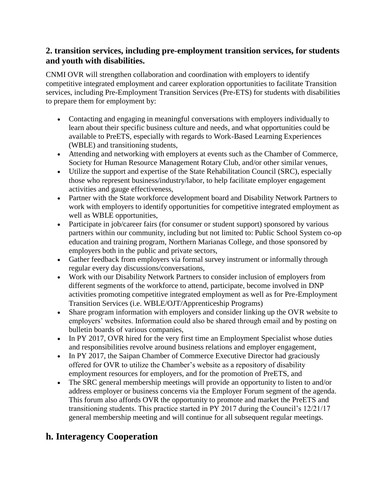### **2. transition services, including pre-employment transition services, for students and youth with disabilities.**

CNMI OVR will strengthen collaboration and coordination with employers to identify competitive integrated employment and career exploration opportunities to facilitate Transition services, including Pre-Employment Transition Services (Pre-ETS) for students with disabilities to prepare them for employment by:

- Contacting and engaging in meaningful conversations with employers individually to learn about their specific business culture and needs, and what opportunities could be available to PreETS, especially with regards to Work-Based Learning Experiences (WBLE) and transitioning students,
- Attending and networking with employers at events such as the Chamber of Commerce, Society for Human Resource Management Rotary Club, and/or other similar venues,
- Utilize the support and expertise of the State Rehabilitation Council (SRC), especially those who represent business/industry/labor, to help facilitate employer engagement activities and gauge effectiveness,
- Partner with the State workforce development board and Disability Network Partners to work with employers to identify opportunities for competitive integrated employment as well as WBLE opportunities,
- Participate in job/career fairs (for consumer or student support) sponsored by various partners within our community, including but not limited to: Public School System co-op education and training program, Northern Marianas College, and those sponsored by employers both in the public and private sectors,
- Gather feedback from employers via formal survey instrument or informally through regular every day discussions/conversations,
- Work with our Disability Network Partners to consider inclusion of employers from different segments of the workforce to attend, participate, become involved in DNP activities promoting competitive integrated employment as well as for Pre-Employment Transition Services (i.e. WBLE/OJT/Apprenticeship Programs)
- Share program information with employers and consider linking up the OVR website to employers' websites. Information could also be shared through email and by posting on bulletin boards of various companies,
- In PY 2017, OVR hired for the very first time an Employment Specialist whose duties and responsibilities revolve around business relations and employer engagement,
- In PY 2017, the Saipan Chamber of Commerce Executive Director had graciously offered for OVR to utilize the Chamber's website as a repository of disability employment resources for employers, and for the promotion of PreETS, and
- The SRC general membership meetings will provide an opportunity to listen to and/or address employer or business concerns via the Employer Forum segment of the agenda. This forum also affords OVR the opportunity to promote and market the PreETS and transitioning students. This practice started in PY 2017 during the Council's 12/21/17 general membership meeting and will continue for all subsequent regular meetings.

## **h. Interagency Cooperation**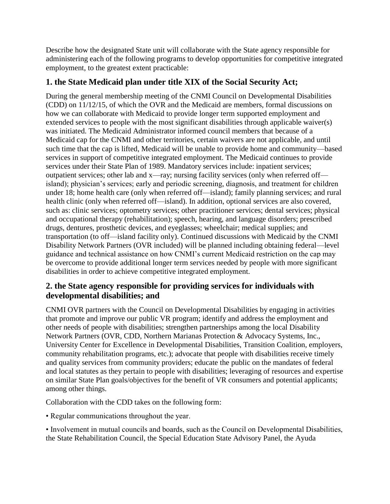Describe how the designated State unit will collaborate with the State agency responsible for administering each of the following programs to develop opportunities for competitive integrated employment, to the greatest extent practicable:

### **1. the State Medicaid plan under title XIX of the Social Security Act;**

During the general membership meeting of the CNMI Council on Developmental Disabilities (CDD) on 11/12/15, of which the OVR and the Medicaid are members, formal discussions on how we can collaborate with Medicaid to provide longer term supported employment and extended services to people with the most significant disabilities through applicable waiver(s) was initiated. The Medicaid Administrator informed council members that because of a Medicaid cap for the CNMI and other territories, certain waivers are not applicable, and until such time that the cap is lifted, Medicaid will be unable to provide home and community—based services in support of competitive integrated employment. The Medicaid continues to provide services under their State Plan of 1989. Mandatory services include: inpatient services; outpatient services; other lab and x—ray; nursing facility services (only when referred off island); physician's services; early and periodic screening, diagnosis, and treatment for children under 18; home health care (only when referred off—island); family planning services; and rural health clinic (only when referred off—island). In addition, optional services are also covered, such as: clinic services; optometry services; other practitioner services; dental services; physical and occupational therapy (rehabilitation); speech, hearing, and language disorders; prescribed drugs, dentures, prosthetic devices, and eyeglasses; wheelchair; medical supplies; and transportation (to off—island facility only). Continued discussions with Medicaid by the CNMI Disability Network Partners (OVR included) will be planned including obtaining federal—level guidance and technical assistance on how CNMI's current Medicaid restriction on the cap may be overcome to provide additional longer term services needed by people with more significant disabilities in order to achieve competitive integrated employment.

### **2. the State agency responsible for providing services for individuals with developmental disabilities; and**

CNMI OVR partners with the Council on Developmental Disabilities by engaging in activities that promote and improve our public VR program; identify and address the employment and other needs of people with disabilities; strengthen partnerships among the local Disability Network Partners (OVR, CDD, Northern Marianas Protection & Advocacy Systems, Inc., University Center for Excellence in Developmental Disabilities, Transition Coalition, employers, community rehabilitation programs, etc.); advocate that people with disabilities receive timely and quality services from community providers; educate the public on the mandates of federal and local statutes as they pertain to people with disabilities; leveraging of resources and expertise on similar State Plan goals/objectives for the benefit of VR consumers and potential applicants; among other things.

Collaboration with the CDD takes on the following form:

• Regular communications throughout the year.

• Involvement in mutual councils and boards, such as the Council on Developmental Disabilities, the State Rehabilitation Council, the Special Education State Advisory Panel, the Ayuda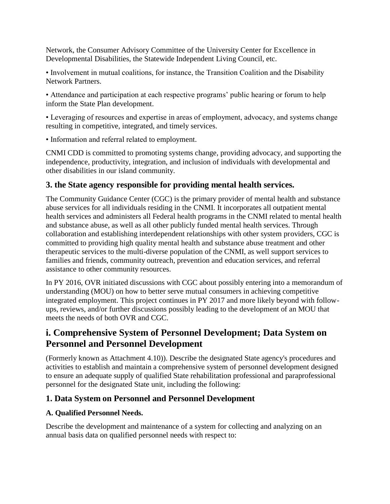Network, the Consumer Advisory Committee of the University Center for Excellence in Developmental Disabilities, the Statewide Independent Living Council, etc.

• Involvement in mutual coalitions, for instance, the Transition Coalition and the Disability Network Partners.

• Attendance and participation at each respective programs' public hearing or forum to help inform the State Plan development.

• Leveraging of resources and expertise in areas of employment, advocacy, and systems change resulting in competitive, integrated, and timely services.

• Information and referral related to employment.

CNMI CDD is committed to promoting systems change, providing advocacy, and supporting the independence, productivity, integration, and inclusion of individuals with developmental and other disabilities in our island community.

### **3. the State agency responsible for providing mental health services.**

The Community Guidance Center (CGC) is the primary provider of mental health and substance abuse services for all individuals residing in the CNMI. It incorporates all outpatient mental health services and administers all Federal health programs in the CNMI related to mental health and substance abuse, as well as all other publicly funded mental health services. Through collaboration and establishing interdependent relationships with other system providers, CGC is committed to providing high quality mental health and substance abuse treatment and other therapeutic services to the multi-diverse population of the CNMI, as well support services to families and friends, community outreach, prevention and education services, and referral assistance to other community resources.

In PY 2016, OVR initiated discussions with CGC about possibly entering into a memorandum of understanding (MOU) on how to better serve mutual consumers in achieving competitive integrated employment. This project continues in PY 2017 and more likely beyond with followups, reviews, and/or further discussions possibly leading to the development of an MOU that meets the needs of both OVR and CGC.

## **i. Comprehensive System of Personnel Development; Data System on Personnel and Personnel Development**

(Formerly known as Attachment 4.10)). Describe the designated State agency's procedures and activities to establish and maintain a comprehensive system of personnel development designed to ensure an adequate supply of qualified State rehabilitation professional and paraprofessional personnel for the designated State unit, including the following:

### **1. Data System on Personnel and Personnel Development**

### **A. Qualified Personnel Needs.**

Describe the development and maintenance of a system for collecting and analyzing on an annual basis data on qualified personnel needs with respect to: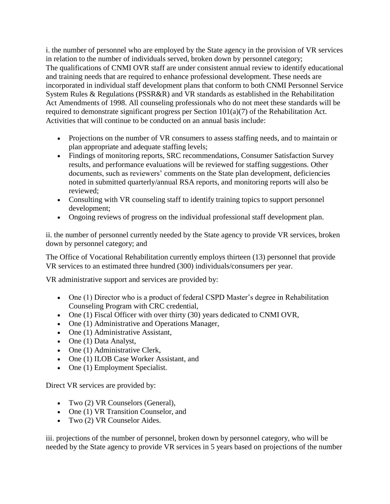i. the number of personnel who are employed by the State agency in the provision of VR services in relation to the number of individuals served, broken down by personnel category; The qualifications of CNMI OVR staff are under consistent annual review to identify educational and training needs that are required to enhance professional development. These needs are incorporated in individual staff development plans that conform to both CNMI Personnel Service System Rules & Regulations (PSSR&R) and VR standards as established in the Rehabilitation Act Amendments of 1998. All counseling professionals who do not meet these standards will be required to demonstrate significant progress per Section 101(a)(7) of the Rehabilitation Act. Activities that will continue to be conducted on an annual basis include:

- Projections on the number of VR consumers to assess staffing needs, and to maintain or plan appropriate and adequate staffing levels;
- Findings of monitoring reports, SRC recommendations, Consumer Satisfaction Survey results, and performance evaluations will be reviewed for staffing suggestions. Other documents, such as reviewers' comments on the State plan development, deficiencies noted in submitted quarterly/annual RSA reports, and monitoring reports will also be reviewed;
- Consulting with VR counseling staff to identify training topics to support personnel development;
- Ongoing reviews of progress on the individual professional staff development plan.

ii. the number of personnel currently needed by the State agency to provide VR services, broken down by personnel category; and

The Office of Vocational Rehabilitation currently employs thirteen (13) personnel that provide VR services to an estimated three hundred (300) individuals/consumers per year.

VR administrative support and services are provided by:

- One (1) Director who is a product of federal CSPD Master's degree in Rehabilitation Counseling Program with CRC credential,
- One (1) Fiscal Officer with over thirty (30) years dedicated to CNMI OVR,
- One (1) Administrative and Operations Manager,
- One (1) Administrative Assistant,
- One (1) Data Analyst,
- One (1) Administrative Clerk,
- One (1) ILOB Case Worker Assistant, and
- One (1) Employment Specialist.

Direct VR services are provided by:

- Two (2) VR Counselors (General),
- One (1) VR Transition Counselor, and
- Two (2) VR Counselor Aides.

iii. projections of the number of personnel, broken down by personnel category, who will be needed by the State agency to provide VR services in 5 years based on projections of the number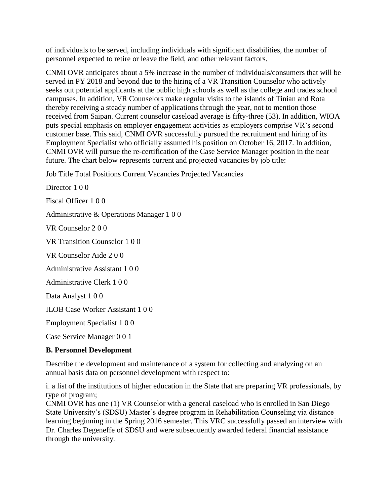of individuals to be served, including individuals with significant disabilities, the number of personnel expected to retire or leave the field, and other relevant factors.

CNMI OVR anticipates about a 5% increase in the number of individuals/consumers that will be served in PY 2018 and beyond due to the hiring of a VR Transition Counselor who actively seeks out potential applicants at the public high schools as well as the college and trades school campuses. In addition, VR Counselors make regular visits to the islands of Tinian and Rota thereby receiving a steady number of applications through the year, not to mention those received from Saipan. Current counselor caseload average is fifty-three (53). In addition, WIOA puts special emphasis on employer engagement activities as employers comprise VR's second customer base. This said, CNMI OVR successfully pursued the recruitment and hiring of its Employment Specialist who officially assumed his position on October 16, 2017. In addition, CNMI OVR will pursue the re-certification of the Case Service Manager position in the near future. The chart below represents current and projected vacancies by job title:

Job Title Total Positions Current Vacancies Projected Vacancies

Director 1 0 0

Fiscal Officer 1 0 0

Administrative & Operations Manager 1 0 0

VR Counselor 2 0 0

VR Transition Counselor 1 0 0

VR Counselor Aide 2 0 0

Administrative Assistant 1 0 0

Administrative Clerk 1 0 0

Data Analyst 1 0 0

ILOB Case Worker Assistant 1 0 0

Employment Specialist 1 0 0

Case Service Manager 0 0 1

#### **B. Personnel Development**

Describe the development and maintenance of a system for collecting and analyzing on an annual basis data on personnel development with respect to:

i. a list of the institutions of higher education in the State that are preparing VR professionals, by type of program;

CNMI OVR has one (1) VR Counselor with a general caseload who is enrolled in San Diego State University's (SDSU) Master's degree program in Rehabilitation Counseling via distance learning beginning in the Spring 2016 semester. This VRC successfully passed an interview with Dr. Charles Degeneffe of SDSU and were subsequently awarded federal financial assistance through the university.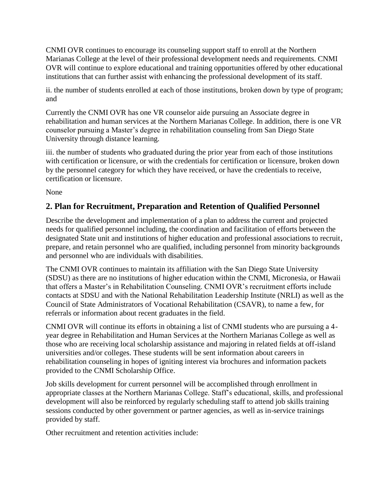CNMI OVR continues to encourage its counseling support staff to enroll at the Northern Marianas College at the level of their professional development needs and requirements. CNMI OVR will continue to explore educational and training opportunities offered by other educational institutions that can further assist with enhancing the professional development of its staff.

ii. the number of students enrolled at each of those institutions, broken down by type of program; and

Currently the CNMI OVR has one VR counselor aide pursuing an Associate degree in rehabilitation and human services at the Northern Marianas College. In addition, there is one VR counselor pursuing a Master's degree in rehabilitation counseling from San Diego State University through distance learning.

iii. the number of students who graduated during the prior year from each of those institutions with certification or licensure, or with the credentials for certification or licensure, broken down by the personnel category for which they have received, or have the credentials to receive, certification or licensure.

None

### **2. Plan for Recruitment, Preparation and Retention of Qualified Personnel**

Describe the development and implementation of a plan to address the current and projected needs for qualified personnel including, the coordination and facilitation of efforts between the designated State unit and institutions of higher education and professional associations to recruit, prepare, and retain personnel who are qualified, including personnel from minority backgrounds and personnel who are individuals with disabilities.

The CNMI OVR continues to maintain its affiliation with the San Diego State University (SDSU) as there are no institutions of higher education within the CNMI, Micronesia, or Hawaii that offers a Master's in Rehabilitation Counseling. CNMI OVR's recruitment efforts include contacts at SDSU and with the National Rehabilitation Leadership Institute (NRLI) as well as the Council of State Administrators of Vocational Rehabilitation (CSAVR), to name a few, for referrals or information about recent graduates in the field.

CNMI OVR will continue its efforts in obtaining a list of CNMI students who are pursuing a 4 year degree in Rehabilitation and Human Services at the Northern Marianas College as well as those who are receiving local scholarship assistance and majoring in related fields at off-island universities and/or colleges. These students will be sent information about careers in rehabilitation counseling in hopes of igniting interest via brochures and information packets provided to the CNMI Scholarship Office.

Job skills development for current personnel will be accomplished through enrollment in appropriate classes at the Northern Marianas College. Staff's educational, skills, and professional development will also be reinforced by regularly scheduling staff to attend job skills training sessions conducted by other government or partner agencies, as well as in-service trainings provided by staff.

Other recruitment and retention activities include: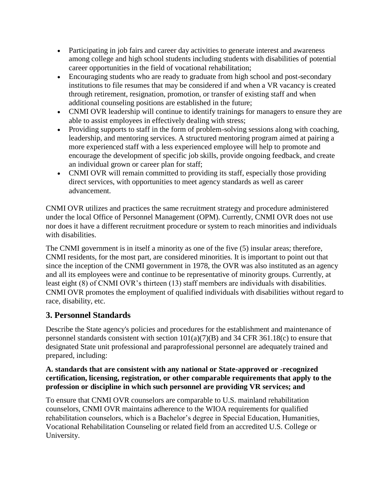- Participating in job fairs and career day activities to generate interest and awareness among college and high school students including students with disabilities of potential career opportunities in the field of vocational rehabilitation;
- Encouraging students who are ready to graduate from high school and post-secondary institutions to file resumes that may be considered if and when a VR vacancy is created through retirement, resignation, promotion, or transfer of existing staff and when additional counseling positions are established in the future;
- CNMI OVR leadership will continue to identify trainings for managers to ensure they are able to assist employees in effectively dealing with stress;
- Providing supports to staff in the form of problem-solving sessions along with coaching, leadership, and mentoring services. A structured mentoring program aimed at pairing a more experienced staff with a less experienced employee will help to promote and encourage the development of specific job skills, provide ongoing feedback, and create an individual grown or career plan for staff;
- CNMI OVR will remain committed to providing its staff, especially those providing direct services, with opportunities to meet agency standards as well as career advancement.

CNMI OVR utilizes and practices the same recruitment strategy and procedure administered under the local Office of Personnel Management (OPM). Currently, CNMI OVR does not use nor does it have a different recruitment procedure or system to reach minorities and individuals with disabilities.

The CNMI government is in itself a minority as one of the five (5) insular areas; therefore, CNMI residents, for the most part, are considered minorities. It is important to point out that since the inception of the CNMI government in 1978, the OVR was also instituted as an agency and all its employees were and continue to be representative of minority groups. Currently, at least eight (8) of CNMI OVR's thirteen (13) staff members are individuals with disabilities. CNMI OVR promotes the employment of qualified individuals with disabilities without regard to race, disability, etc.

### **3. Personnel Standards**

Describe the State agency's policies and procedures for the establishment and maintenance of personnel standards consistent with section 101(a)(7)(B) and 34 CFR 361.18(c) to ensure that designated State unit professional and paraprofessional personnel are adequately trained and prepared, including:

#### **A. standards that are consistent with any national or State-approved or -recognized certification, licensing, registration, or other comparable requirements that apply to the profession or discipline in which such personnel are providing VR services; and**

To ensure that CNMI OVR counselors are comparable to U.S. mainland rehabilitation counselors, CNMI OVR maintains adherence to the WIOA requirements for qualified rehabilitation counselors, which is a Bachelor's degree in Special Education, Humanities, Vocational Rehabilitation Counseling or related field from an accredited U.S. College or University.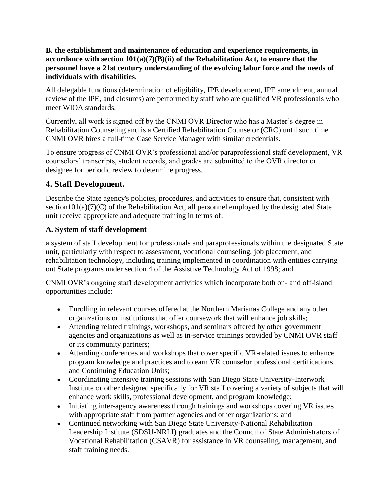**B. the establishment and maintenance of education and experience requirements, in accordance with section 101(a)(7)(B)(ii) of the Rehabilitation Act, to ensure that the personnel have a 21st century understanding of the evolving labor force and the needs of individuals with disabilities.**

All delegable functions (determination of eligibility, IPE development, IPE amendment, annual review of the IPE, and closures) are performed by staff who are qualified VR professionals who meet WIOA standards.

Currently, all work is signed off by the CNMI OVR Director who has a Master's degree in Rehabilitation Counseling and is a Certified Rehabilitation Counselor (CRC) until such time CNMI OVR hires a full-time Case Service Manager with similar credentials.

To ensure progress of CNMI OVR's professional and/or paraprofessional staff development, VR counselors' transcripts, student records, and grades are submitted to the OVR director or designee for periodic review to determine progress.

### **4. Staff Development.**

Describe the State agency's policies, procedures, and activities to ensure that, consistent with section101(a)(7)(C) of the Rehabilitation Act, all personnel employed by the designated State unit receive appropriate and adequate training in terms of:

#### **A. System of staff development**

a system of staff development for professionals and paraprofessionals within the designated State unit, particularly with respect to assessment, vocational counseling, job placement, and rehabilitation technology, including training implemented in coordination with entities carrying out State programs under section 4 of the Assistive Technology Act of 1998; and

CNMI OVR's ongoing staff development activities which incorporate both on- and off-island opportunities include:

- Enrolling in relevant courses offered at the Northern Marianas College and any other organizations or institutions that offer coursework that will enhance job skills;
- Attending related trainings, workshops, and seminars offered by other government agencies and organizations as well as in-service trainings provided by CNMI OVR staff or its community partners;
- Attending conferences and workshops that cover specific VR-related issues to enhance program knowledge and practices and to earn VR counselor professional certifications and Continuing Education Units;
- Coordinating intensive training sessions with San Diego State University-Interwork Institute or other designed specifically for VR staff covering a variety of subjects that will enhance work skills, professional development, and program knowledge;
- Initiating inter-agency awareness through trainings and workshops covering VR issues with appropriate staff from partner agencies and other organizations; and
- Continued networking with San Diego State University-National Rehabilitation Leadership Institute (SDSU-NRLI) graduates and the Council of State Administrators of Vocational Rehabilitation (CSAVR) for assistance in VR counseling, management, and staff training needs.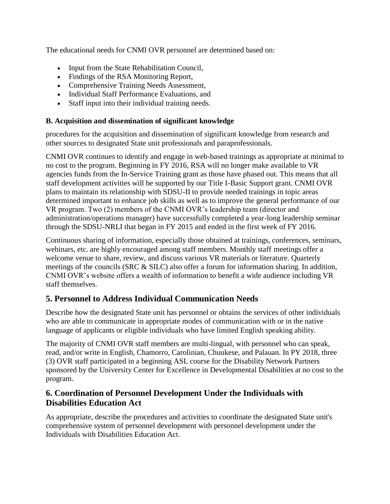The educational needs for CNMI OVR personnel are determined based on:

- Input from the State Rehabilitation Council,
- Findings of the RSA Monitoring Report,
- Comprehensive Training Needs Assessment,
- Individual Staff Performance Evaluations, and
- Staff input into their individual training needs.

#### **B. Acquisition and dissemination of significant knowledge**

procedures for the acquisition and dissemination of significant knowledge from research and other sources to designated State unit professionals and paraprofessionals.

CNMI OVR continues to identify and engage in web-based trainings as appropriate at minimal to no cost to the program. Beginning in FY 2016, RSA will no longer make available to VR agencies funds from the In-Service Training grant as those have phased out. This means that all staff development activities will be supported by our Title I-Basic Support grant. CNMI OVR plans to maintain its relationship with SDSU-II to provide needed trainings in topic areas determined important to enhance job skills as well as to improve the general performance of our VR program. Two (2) members of the CNMI OVR's leadership team (director and administration/operations manager) have successfully completed a year-long leadership seminar through the SDSU-NRLI that began in FY 2015 and ended in the first week of FY 2016.

Continuous sharing of information, especially those obtained at trainings, conferences, seminars, webinars, etc. are highly encouraged among staff members. Monthly staff meetings offer a welcome venue to share, review, and discuss various VR materials or literature. Quarterly meetings of the councils (SRC & SILC) also offer a forum for information sharing. In addition, CNMI OVR's website offers a wealth of information to benefit a wide audience including VR staff themselves.

### **5. Personnel to Address Individual Communication Needs**

Describe how the designated State unit has personnel or obtains the services of other individuals who are able to communicate in appropriate modes of communication with or in the native language of applicants or eligible individuals who have limited English speaking ability.

The majority of CNMI OVR staff members are multi-lingual, with personnel who can speak, read, and/or write in English, Chamorro, Carolinian, Chuukese, and Palauan. In PY 2018, three (3) OVR staff participated in a beginning ASL course for the Disability Network Partners sponsored by the University Center for Excellence in Developmental Disabilities at no cost to the program.

### **6. Coordination of Personnel Development Under the Individuals with Disabilities Education Act**

As appropriate, describe the procedures and activities to coordinate the designated State unit's comprehensive system of personnel development with personnel development under the Individuals with Disabilities Education Act.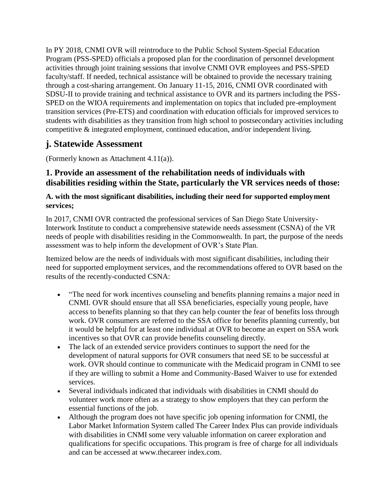In PY 2018, CNMI OVR will reintroduce to the Public School System-Special Education Program (PSS-SPED) officials a proposed plan for the coordination of personnel development activities through joint training sessions that involve CNMI OVR employees and PSS-SPED faculty/staff. If needed, technical assistance will be obtained to provide the necessary training through a cost-sharing arrangement. On January 11-15, 2016, CNMI OVR coordinated with SDSU-II to provide training and technical assistance to OVR and its partners including the PSS-SPED on the WIOA requirements and implementation on topics that included pre-employment transition services (Pre-ETS) and coordination with education officials for improved services to students with disabilities as they transition from high school to postsecondary activities including competitive & integrated employment, continued education, and/or independent living.

## **j. Statewide Assessment**

(Formerly known as Attachment 4.11(a)).

### **1. Provide an assessment of the rehabilitation needs of individuals with disabilities residing within the State, particularly the VR services needs of those:**

#### **A. with the most significant disabilities, including their need for supported employment services;**

In 2017, CNMI OVR contracted the professional services of San Diego State University-Interwork Institute to conduct a comprehensive statewide needs assessment (CSNA) of the VR needs of people with disabilities residing in the Commonwealth. In part, the purpose of the needs assessment was to help inform the development of OVR's State Plan.

Itemized below are the needs of individuals with most significant disabilities, including their need for supported employment services, and the recommendations offered to OVR based on the results of the recently-conducted CSNA:

- "The need for work incentives counseling and benefits planning remains a major need in CNMI. OVR should ensure that all SSA beneficiaries, especially young people, have access to benefits planning so that they can help counter the fear of benefits loss through work. OVR consumers are referred to the SSA office for benefits planning currently, but it would be helpful for at least one individual at OVR to become an expert on SSA work incentives so that OVR can provide benefits counseling directly.
- The lack of an extended service providers continues to support the need for the development of natural supports for OVR consumers that need SE to be successful at work. OVR should continue to communicate with the Medicaid program in CNMI to see if they are willing to submit a Home and Community-Based Waiver to use for extended services.
- Several individuals indicated that individuals with disabilities in CNMI should do volunteer work more often as a strategy to show employers that they can perform the essential functions of the job.
- Although the program does not have specific job opening information for CNMI, the Labor Market Information System called The Career Index Plus can provide individuals with disabilities in CNMI some very valuable information on career exploration and qualifications for specific occupations. This program is free of charge for all individuals and can be accessed at www.thecareer index.com.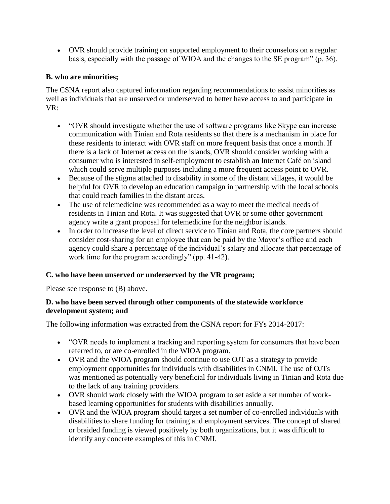OVR should provide training on supported employment to their counselors on a regular basis, especially with the passage of WIOA and the changes to the SE program" (p. 36).

#### **B. who are minorities;**

The CSNA report also captured information regarding recommendations to assist minorities as well as individuals that are unserved or underserved to better have access to and participate in VR:

- "OVR should investigate whether the use of software programs like Skype can increase communication with Tinian and Rota residents so that there is a mechanism in place for these residents to interact with OVR staff on more frequent basis that once a month. If there is a lack of Internet access on the islands, OVR should consider working with a consumer who is interested in self-employment to establish an Internet Café on island which could serve multiple purposes including a more frequent access point to OVR.
- Because of the stigma attached to disability in some of the distant villages, it would be helpful for OVR to develop an education campaign in partnership with the local schools that could reach families in the distant areas.
- The use of telemedicine was recommended as a way to meet the medical needs of residents in Tinian and Rota. It was suggested that OVR or some other government agency write a grant proposal for telemedicine for the neighbor islands.
- In order to increase the level of direct service to Tinian and Rota, the core partners should consider cost-sharing for an employee that can be paid by the Mayor's office and each agency could share a percentage of the individual's salary and allocate that percentage of work time for the program accordingly" (pp. 41-42).

#### **C. who have been unserved or underserved by the VR program;**

Please see response to (B) above.

#### **D. who have been served through other components of the statewide workforce development system; and**

The following information was extracted from the CSNA report for FYs 2014-2017:

- "OVR needs to implement a tracking and reporting system for consumers that have been referred to, or are co-enrolled in the WIOA program.
- OVR and the WIOA program should continue to use OJT as a strategy to provide employment opportunities for individuals with disabilities in CNMI. The use of OJTs was mentioned as potentially very beneficial for individuals living in Tinian and Rota due to the lack of any training providers.
- OVR should work closely with the WIOA program to set aside a set number of workbased learning opportunities for students with disabilities annually.
- OVR and the WIOA program should target a set number of co-enrolled individuals with disabilities to share funding for training and employment services. The concept of shared or braided funding is viewed positively by both organizations, but it was difficult to identify any concrete examples of this in CNMI.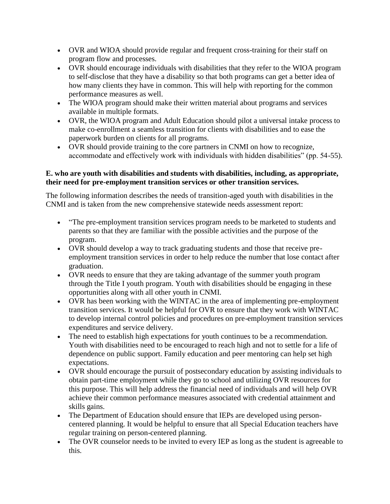- OVR and WIOA should provide regular and frequent cross-training for their staff on program flow and processes.
- OVR should encourage individuals with disabilities that they refer to the WIOA program to self-disclose that they have a disability so that both programs can get a better idea of how many clients they have in common. This will help with reporting for the common performance measures as well.
- The WIOA program should make their written material about programs and services available in multiple formats.
- OVR, the WIOA program and Adult Education should pilot a universal intake process to make co-enrollment a seamless transition for clients with disabilities and to ease the paperwork burden on clients for all programs.
- OVR should provide training to the core partners in CNMI on how to recognize, accommodate and effectively work with individuals with hidden disabilities" (pp. 54-55).

#### **E. who are youth with disabilities and students with disabilities, including, as appropriate, their need for pre-employment transition services or other transition services.**

The following information describes the needs of transition-aged youth with disabilities in the CNMI and is taken from the new comprehensive statewide needs assessment report:

- "The pre-employment transition services program needs to be marketed to students and parents so that they are familiar with the possible activities and the purpose of the program.
- OVR should develop a way to track graduating students and those that receive preemployment transition services in order to help reduce the number that lose contact after graduation.
- OVR needs to ensure that they are taking advantage of the summer youth program through the Title I youth program. Youth with disabilities should be engaging in these opportunities along with all other youth in CNMI.
- OVR has been working with the WINTAC in the area of implementing pre-employment transition services. It would be helpful for OVR to ensure that they work with WINTAC to develop internal control policies and procedures on pre-employment transition services expenditures and service delivery.
- The need to establish high expectations for youth continues to be a recommendation. Youth with disabilities need to be encouraged to reach high and not to settle for a life of dependence on public support. Family education and peer mentoring can help set high expectations.
- OVR should encourage the pursuit of postsecondary education by assisting individuals to obtain part-time employment while they go to school and utilizing OVR resources for this purpose. This will help address the financial need of individuals and will help OVR achieve their common performance measures associated with credential attainment and skills gains.
- The Department of Education should ensure that IEPs are developed using personcentered planning. It would be helpful to ensure that all Special Education teachers have regular training on person-centered planning.
- The OVR counselor needs to be invited to every IEP as long as the student is agreeable to this.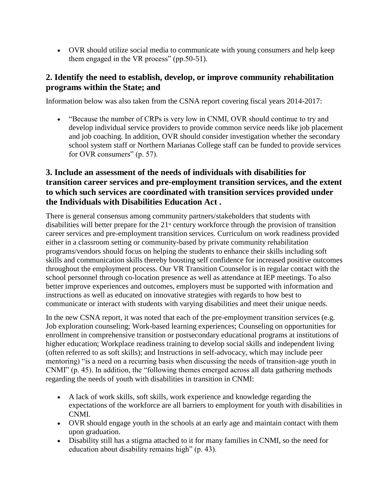OVR should utilize social media to communicate with young consumers and help keep them engaged in the VR process" (pp.50-51).

### **2. Identify the need to establish, develop, or improve community rehabilitation programs within the State; and**

Information below was also taken from the CSNA report covering fiscal years 2014-2017:

 "Because the number of CRPs is very low in CNMI, OVR should continue to try and develop individual service providers to provide common service needs like job placement and job coaching. In addition, OVR should consider investigation whether the secondary school system staff or Northern Marianas College staff can be funded to provide services for OVR consumers" (p. 57).

### **3. Include an assessment of the needs of individuals with disabilities for transition career services and pre-employment transition services, and the extent to which such services are coordinated with transition services provided under the Individuals with Disabilities Education Act .**

There is general consensus among community partners/stakeholders that students with disabilities will better prepare for the  $21<sup>st</sup>$  century workforce through the provision of transition career services and pre-employment transition services. Curriculum on work readiness provided either in a classroom setting or community-based by private community rehabilitation programs/vendors should focus on helping the students to enhance their skills including soft skills and communication skills thereby boosting self confidence for increased positive outcomes throughout the employment process. Our VR Transition Counselor is in regular contact with the school personnel through co-location presence as well as attendance at IEP meetings. To also better improve experiences and outcomes, employers must be supported with information and instructions as well as educated on innovative strategies with regards to how best to communicate or interact with students with varying disabilities and meet their unique needs.

In the new CSNA report, it was noted that each of the pre-employment transition services (e.g. Job exploration counseling; Work-based learning experiences; Counseling on opportunities for enrollment in comprehensive transition or postsecondary educational programs at institutions of higher education; Workplace readiness training to develop social skills and independent living (often referred to as soft skills); and Instructions in self-advocacy, which may include peer mentoring) "is a need on a recurring basis when discussing the needs of transition-age youth in CNMI" (p. 45). In addition, the "following themes emerged across all data gathering methods regarding the needs of youth with disabilities in transition in CNMI:

- A lack of work skills, soft skills, work experience and knowledge regarding the expectations of the workforce are all barriers to employment for youth with disabilities in CNMI.
- OVR should engage youth in the schools at an early age and maintain contact with them upon graduation.
- Disability still has a stigma attached to it for many families in CNMI, so the need for education about disability remains high" (p. 43).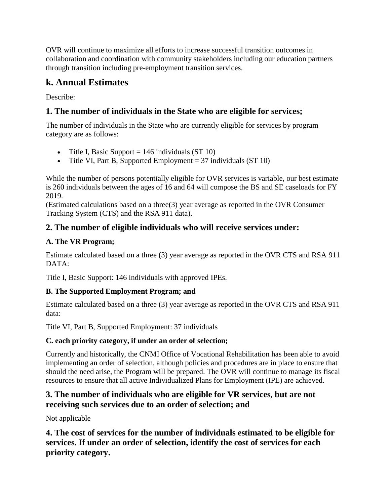OVR will continue to maximize all efforts to increase successful transition outcomes in collaboration and coordination with community stakeholders including our education partners through transition including pre-employment transition services.

## **k. Annual Estimates**

Describe:

## **1. The number of individuals in the State who are eligible for services;**

The number of individuals in the State who are currently eligible for services by program category are as follows:

- Title I, Basic Support =  $146$  individuals (ST 10)
- Title VI, Part B, Supported Employment  $= 37$  individuals (ST 10)

While the number of persons potentially eligible for OVR services is variable, our best estimate is 260 individuals between the ages of 16 and 64 will compose the BS and SE caseloads for FY 2019.

(Estimated calculations based on a three(3) year average as reported in the OVR Consumer Tracking System (CTS) and the RSA 911 data).

## **2. The number of eligible individuals who will receive services under:**

### **A. The VR Program;**

Estimate calculated based on a three (3) year average as reported in the OVR CTS and RSA 911 DATA:

Title I, Basic Support: 146 individuals with approved IPEs.

### **B. The Supported Employment Program; and**

Estimate calculated based on a three (3) year average as reported in the OVR CTS and RSA 911 data:

Title VI, Part B, Supported Employment: 37 individuals

### **C. each priority category, if under an order of selection;**

Currently and historically, the CNMI Office of Vocational Rehabilitation has been able to avoid implementing an order of selection, although policies and procedures are in place to ensure that should the need arise, the Program will be prepared. The OVR will continue to manage its fiscal resources to ensure that all active Individualized Plans for Employment (IPE) are achieved.

### **3. The number of individuals who are eligible for VR services, but are not receiving such services due to an order of selection; and**

Not applicable

**4. The cost of services for the number of individuals estimated to be eligible for services. If under an order of selection, identify the cost of services for each priority category.**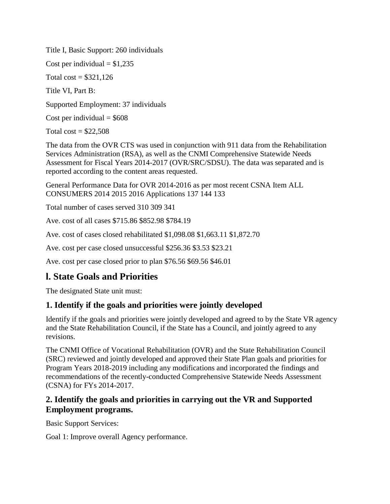Title I, Basic Support: 260 individuals

Cost per individual  $= $1,235$ 

Total cost =  $$321,126$ 

Title VI, Part B:

Supported Employment: 37 individuals

Cost per individual  $=$  \$608

Total cost =  $$22,508$ 

The data from the OVR CTS was used in conjunction with 911 data from the Rehabilitation Services Administration (RSA), as well as the CNMI Comprehensive Statewide Needs Assessment for Fiscal Years 2014-2017 (OVR/SRC/SDSU). The data was separated and is reported according to the content areas requested.

General Performance Data for OVR 2014-2016 as per most recent CSNA Item ALL CONSUMERS 2014 2015 2016 Applications 137 144 133

Total number of cases served 310 309 341

Ave. cost of all cases \$715.86 \$852.98 \$784.19

Ave. cost of cases closed rehabilitated \$1,098.08 \$1,663.11 \$1,872.70

Ave. cost per case closed unsuccessful \$256.36 \$3.53 \$23.21

Ave. cost per case closed prior to plan \$76.56 \$69.56 \$46.01

## **l. State Goals and Priorities**

The designated State unit must:

### **1. Identify if the goals and priorities were jointly developed**

Identify if the goals and priorities were jointly developed and agreed to by the State VR agency and the State Rehabilitation Council, if the State has a Council, and jointly agreed to any revisions.

The CNMI Office of Vocational Rehabilitation (OVR) and the State Rehabilitation Council (SRC) reviewed and jointly developed and approved their State Plan goals and priorities for Program Years 2018-2019 including any modifications and incorporated the findings and recommendations of the recently-conducted Comprehensive Statewide Needs Assessment (CSNA) for FYs 2014-2017.

### **2. Identify the goals and priorities in carrying out the VR and Supported Employment programs.**

Basic Support Services:

Goal 1: Improve overall Agency performance.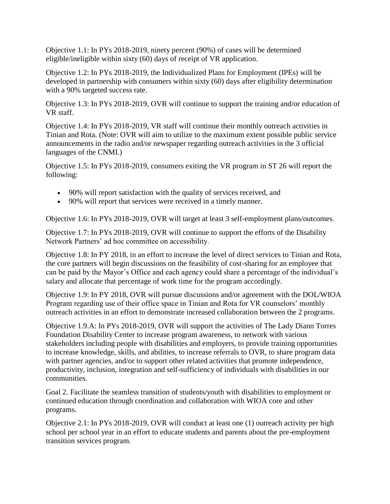Objective 1.1: In PYs 2018-2019, ninety percent (90%) of cases will be determined eligible/ineligible within sixty (60) days of receipt of VR application.

Objective 1.2: In PYs 2018-2019, the Individualized Plans for Employment (IPEs) will be developed in partnership with consumers within sixty (60) days after eligibility determination with a 90% targeted success rate.

Objective 1.3: In PYs 2018-2019, OVR will continue to support the training and/or education of VR staff.

Objective 1.4: In PYs 2018-2019, VR staff will continue their monthly outreach activities in Tinian and Rota. (Note: OVR will aim to utilize to the maximum extent possible public service announcements in the radio and/or newspaper regarding outreach activities in the 3 official languages of the CNMI.)

Objective 1.5: In PYs 2018-2019, consumers exiting the VR program in ST 26 will report the following:

- 90% will report satisfaction with the quality of services received, and
- 90% will report that services were received in a timely manner.

Objective 1.6: In PYs 2018-2019, OVR will target at least 3 self-employment plans/outcomes.

Objective 1.7: In PYs 2018-2019, OVR will continue to support the efforts of the Disability Network Partners' ad hoc committee on accessibility.

Objective 1.8: In PY 2018, in an effort to increase the level of direct services to Tinian and Rota, the core partners will begin discussions on the feasibility of cost-sharing for an employee that can be paid by the Mayor's Office and each agency could share a percentage of the individual's salary and allocate that percentage of work time for the program accordingly.

Objective 1.9: In PY 2018, OVR will pursue discussions and/or agreement with the DOL/WIOA Program regarding use of their office space in Tinian and Rota for VR counselors' monthly outreach activities in an effort to demonstrate increased collaboration between the 2 programs.

Objective 1.9.A: In PYs 2018-2019, OVR will support the activities of The Lady Diann Torres Foundation Disability Center to increase program awareness, to network with various stakeholders including people with disabilities and employers, to provide training opportunities to increase knowledge, skills, and abilities, to increase referrals to OVR, to share program data with partner agencies, and/or to support other related activities that promote independence, productivity, inclusion, integration and self-sufficiency of individuals with disabilities in our communities.

Goal 2. Facilitate the seamless transition of students/youth with disabilities to employment or continued education through coordination and collaboration with WIOA core and other programs.

Objective 2.1: In PYs 2018-2019, OVR will conduct at least one (1) outreach activity per high school per school year in an effort to educate students and parents about the pre-employment transition services program.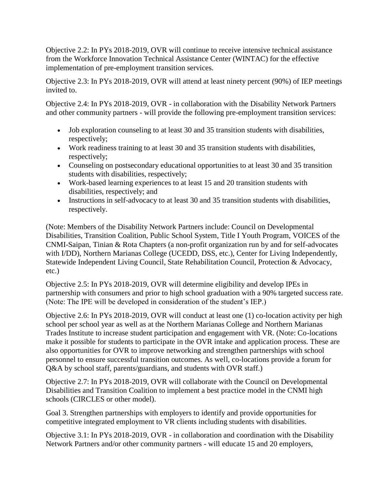Objective 2.2: In PYs 2018-2019, OVR will continue to receive intensive technical assistance from the Workforce Innovation Technical Assistance Center (WINTAC) for the effective implementation of pre-employment transition services.

Objective 2.3: In PYs 2018-2019, OVR will attend at least ninety percent (90%) of IEP meetings invited to.

Objective 2.4: In PYs 2018-2019, OVR - in collaboration with the Disability Network Partners and other community partners - will provide the following pre-employment transition services:

- Job exploration counseling to at least 30 and 35 transition students with disabilities, respectively;
- Work readiness training to at least 30 and 35 transition students with disabilities, respectively;
- Counseling on postsecondary educational opportunities to at least 30 and 35 transition students with disabilities, respectively;
- Work-based learning experiences to at least 15 and 20 transition students with disabilities, respectively; and
- Instructions in self-advocacy to at least 30 and 35 transition students with disabilities, respectively.

(Note: Members of the Disability Network Partners include: Council on Developmental Disabilities, Transition Coalition, Public School System, Title I Youth Program, VOICES of the CNMI-Saipan, Tinian & Rota Chapters (a non-profit organization run by and for self-advocates with I/DD), Northern Marianas College (UCEDD, DSS, etc.), Center for Living Independently, Statewide Independent Living Council, State Rehabilitation Council, Protection & Advocacy, etc.)

Objective 2.5: In PYs 2018-2019, OVR will determine eligibility and develop IPEs in partnership with consumers and prior to high school graduation with a 90% targeted success rate. (Note: The IPE will be developed in consideration of the student's IEP.)

Objective 2.6: In PYs 2018-2019, OVR will conduct at least one (1) co-location activity per high school per school year as well as at the Northern Marianas College and Northern Marianas Trades Institute to increase student participation and engagement with VR. (Note: Co-locations make it possible for students to participate in the OVR intake and application process. These are also opportunities for OVR to improve networking and strengthen partnerships with school personnel to ensure successful transition outcomes. As well, co-locations provide a forum for Q&A by school staff, parents/guardians, and students with OVR staff.)

Objective 2.7: In PYs 2018-2019, OVR will collaborate with the Council on Developmental Disabilities and Transition Coalition to implement a best practice model in the CNMI high schools (CIRCLES or other model).

Goal 3. Strengthen partnerships with employers to identify and provide opportunities for competitive integrated employment to VR clients including students with disabilities.

Objective 3.1: In PYs 2018-2019, OVR - in collaboration and coordination with the Disability Network Partners and/or other community partners - will educate 15 and 20 employers,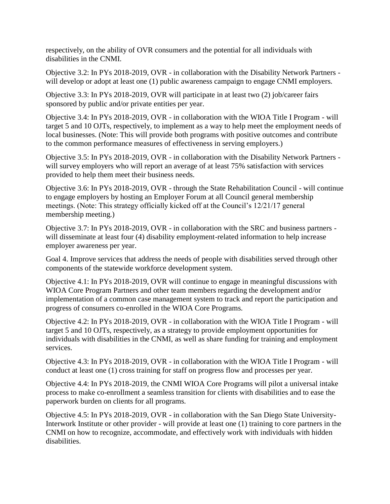respectively, on the ability of OVR consumers and the potential for all individuals with disabilities in the CNMI.

Objective 3.2: In PYs 2018-2019, OVR - in collaboration with the Disability Network Partners will develop or adopt at least one (1) public awareness campaign to engage CNMI employers.

Objective 3.3: In PYs 2018-2019, OVR will participate in at least two (2) job/career fairs sponsored by public and/or private entities per year.

Objective 3.4: In PYs 2018-2019, OVR - in collaboration with the WIOA Title I Program - will target 5 and 10 OJTs, respectively, to implement as a way to help meet the employment needs of local businesses. (Note: This will provide both programs with positive outcomes and contribute to the common performance measures of effectiveness in serving employers.)

Objective 3.5: In PYs 2018-2019, OVR - in collaboration with the Disability Network Partners will survey employers who will report an average of at least 75% satisfaction with services provided to help them meet their business needs.

Objective 3.6: In PYs 2018-2019, OVR - through the State Rehabilitation Council - will continue to engage employers by hosting an Employer Forum at all Council general membership meetings. (Note: This strategy officially kicked off at the Council's 12/21/17 general membership meeting.)

Objective 3.7: In PYs 2018-2019, OVR - in collaboration with the SRC and business partners will disseminate at least four (4) disability employment-related information to help increase employer awareness per year.

Goal 4. Improve services that address the needs of people with disabilities served through other components of the statewide workforce development system.

Objective 4.1: In PYs 2018-2019, OVR will continue to engage in meaningful discussions with WIOA Core Program Partners and other team members regarding the development and/or implementation of a common case management system to track and report the participation and progress of consumers co-enrolled in the WIOA Core Programs.

Objective 4.2: In PYs 2018-2019, OVR - in collaboration with the WIOA Title I Program - will target 5 and 10 OJTs, respectively, as a strategy to provide employment opportunities for individuals with disabilities in the CNMI, as well as share funding for training and employment services.

Objective 4.3: In PYs 2018-2019, OVR - in collaboration with the WIOA Title I Program - will conduct at least one (1) cross training for staff on progress flow and processes per year.

Objective 4.4: In PYs 2018-2019, the CNMI WIOA Core Programs will pilot a universal intake process to make co-enrollment a seamless transition for clients with disabilities and to ease the paperwork burden on clients for all programs.

Objective 4.5: In PYs 2018-2019, OVR - in collaboration with the San Diego State University-Interwork Institute or other provider - will provide at least one (1) training to core partners in the CNMI on how to recognize, accommodate, and effectively work with individuals with hidden disabilities.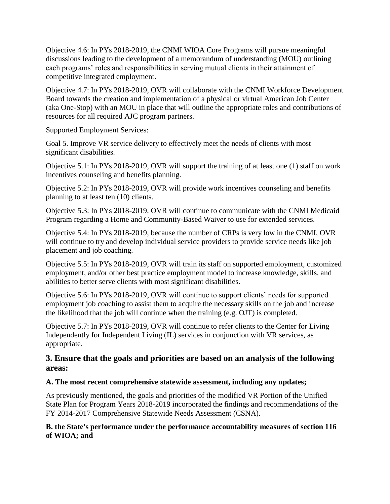Objective 4.6: In PYs 2018-2019, the CNMI WIOA Core Programs will pursue meaningful discussions leading to the development of a memorandum of understanding (MOU) outlining each programs' roles and responsibilities in serving mutual clients in their attainment of competitive integrated employment.

Objective 4.7: In PYs 2018-2019, OVR will collaborate with the CNMI Workforce Development Board towards the creation and implementation of a physical or virtual American Job Center (aka One-Stop) with an MOU in place that will outline the appropriate roles and contributions of resources for all required AJC program partners.

Supported Employment Services:

Goal 5. Improve VR service delivery to effectively meet the needs of clients with most significant disabilities.

Objective 5.1: In PYs 2018-2019, OVR will support the training of at least one (1) staff on work incentives counseling and benefits planning.

Objective 5.2: In PYs 2018-2019, OVR will provide work incentives counseling and benefits planning to at least ten (10) clients.

Objective 5.3: In PYs 2018-2019, OVR will continue to communicate with the CNMI Medicaid Program regarding a Home and Community-Based Waiver to use for extended services.

Objective 5.4: In PYs 2018-2019, because the number of CRPs is very low in the CNMI, OVR will continue to try and develop individual service providers to provide service needs like job placement and job coaching.

Objective 5.5: In PYs 2018-2019, OVR will train its staff on supported employment, customized employment, and/or other best practice employment model to increase knowledge, skills, and abilities to better serve clients with most significant disabilities.

Objective 5.6: In PYs 2018-2019, OVR will continue to support clients' needs for supported employment job coaching to assist them to acquire the necessary skills on the job and increase the likelihood that the job will continue when the training (e.g. OJT) is completed.

Objective 5.7: In PYs 2018-2019, OVR will continue to refer clients to the Center for Living Independently for Independent Living (IL) services in conjunction with VR services, as appropriate.

### **3. Ensure that the goals and priorities are based on an analysis of the following areas:**

#### **A. The most recent comprehensive statewide assessment, including any updates;**

As previously mentioned, the goals and priorities of the modified VR Portion of the Unified State Plan for Program Years 2018-2019 incorporated the findings and recommendations of the FY 2014-2017 Comprehensive Statewide Needs Assessment (CSNA).

#### **B. the State's performance under the performance accountability measures of section 116 of WIOA; and**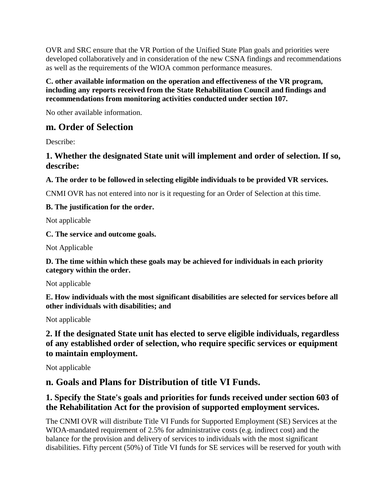OVR and SRC ensure that the VR Portion of the Unified State Plan goals and priorities were developed collaboratively and in consideration of the new CSNA findings and recommendations as well as the requirements of the WIOA common performance measures.

#### **C. other available information on the operation and effectiveness of the VR program, including any reports received from the State Rehabilitation Council and findings and recommendations from monitoring activities conducted under section 107.**

No other available information.

### **m. Order of Selection**

Describe:

### **1. Whether the designated State unit will implement and order of selection. If so, describe:**

#### **A. The order to be followed in selecting eligible individuals to be provided VR services.**

CNMI OVR has not entered into nor is it requesting for an Order of Selection at this time.

#### **B. The justification for the order.**

Not applicable

**C. The service and outcome goals.**

Not Applicable

**D. The time within which these goals may be achieved for individuals in each priority category within the order.**

Not applicable

**E. How individuals with the most significant disabilities are selected for services before all other individuals with disabilities; and**

Not applicable

### **2. If the designated State unit has elected to serve eligible individuals, regardless of any established order of selection, who require specific services or equipment to maintain employment.**

Not applicable

## **n. Goals and Plans for Distribution of title VI Funds.**

### **1. Specify the State's goals and priorities for funds received under section 603 of the Rehabilitation Act for the provision of supported employment services.**

The CNMI OVR will distribute Title VI Funds for Supported Employment (SE) Services at the WIOA-mandated requirement of 2.5% for administrative costs (e.g. indirect cost) and the balance for the provision and delivery of services to individuals with the most significant disabilities. Fifty percent (50%) of Title VI funds for SE services will be reserved for youth with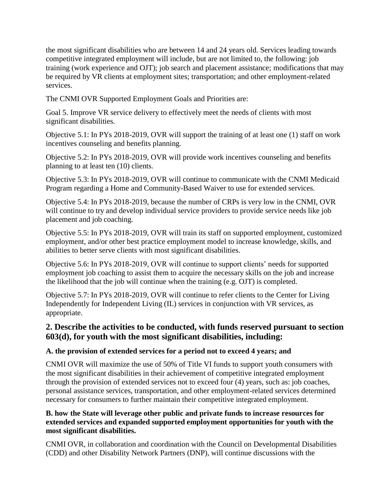the most significant disabilities who are between 14 and 24 years old. Services leading towards competitive integrated employment will include, but are not limited to, the following: job training (work experience and OJT); job search and placement assistance; modifications that may be required by VR clients at employment sites; transportation; and other employment-related services.

The CNMI OVR Supported Employment Goals and Priorities are:

Goal 5. Improve VR service delivery to effectively meet the needs of clients with most significant disabilities.

Objective 5.1: In PYs 2018-2019, OVR will support the training of at least one (1) staff on work incentives counseling and benefits planning.

Objective 5.2: In PYs 2018-2019, OVR will provide work incentives counseling and benefits planning to at least ten (10) clients.

Objective 5.3: In PYs 2018-2019, OVR will continue to communicate with the CNMI Medicaid Program regarding a Home and Community-Based Waiver to use for extended services.

Objective 5.4: In PYs 2018-2019, because the number of CRPs is very low in the CNMI, OVR will continue to try and develop individual service providers to provide service needs like job placement and job coaching.

Objective 5.5: In PYs 2018-2019, OVR will train its staff on supported employment, customized employment, and/or other best practice employment model to increase knowledge, skills, and abilities to better serve clients with most significant disabilities.

Objective 5.6: In PYs 2018-2019, OVR will continue to support clients' needs for supported employment job coaching to assist them to acquire the necessary skills on the job and increase the likelihood that the job will continue when the training (e.g. OJT) is completed.

Objective 5.7: In PYs 2018-2019, OVR will continue to refer clients to the Center for Living Independently for Independent Living (IL) services in conjunction with VR services, as appropriate.

### **2. Describe the activities to be conducted, with funds reserved pursuant to section 603(d), for youth with the most significant disabilities, including:**

#### **A. the provision of extended services for a period not to exceed 4 years; and**

CNMI OVR will maximize the use of 50% of Title VI funds to support youth consumers with the most significant disabilities in their achievement of competitive integrated employment through the provision of extended services not to exceed four (4) years, such as: job coaches, personal assistance services, transportation, and other employment-related services determined necessary for consumers to further maintain their competitive integrated employment.

#### **B. how the State will leverage other public and private funds to increase resources for extended services and expanded supported employment opportunities for youth with the most significant disabilities.**

CNMI OVR, in collaboration and coordination with the Council on Developmental Disabilities (CDD) and other Disability Network Partners (DNP), will continue discussions with the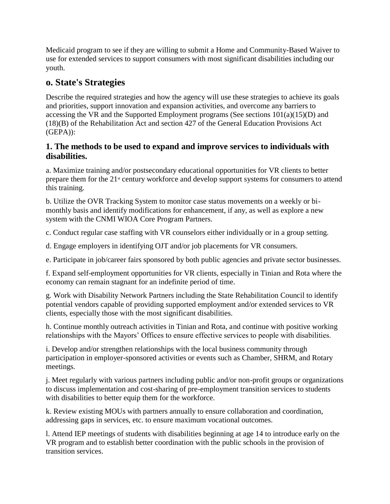Medicaid program to see if they are willing to submit a Home and Community-Based Waiver to use for extended services to support consumers with most significant disabilities including our youth.

## **o. State's Strategies**

Describe the required strategies and how the agency will use these strategies to achieve its goals and priorities, support innovation and expansion activities, and overcome any barriers to accessing the VR and the Supported Employment programs (See sections 101(a)(15)(D) and (18)(B) of the Rehabilitation Act and section 427 of the General Education Provisions Act (GEPA)):

### **1. The methods to be used to expand and improve services to individuals with disabilities.**

a. Maximize training and/or postsecondary educational opportunities for VR clients to better prepare them for the 21st century workforce and develop support systems for consumers to attend this training.

b. Utilize the OVR Tracking System to monitor case status movements on a weekly or bimonthly basis and identify modifications for enhancement, if any, as well as explore a new system with the CNMI WIOA Core Program Partners.

c. Conduct regular case staffing with VR counselors either individually or in a group setting.

d. Engage employers in identifying OJT and/or job placements for VR consumers.

e. Participate in job/career fairs sponsored by both public agencies and private sector businesses.

f. Expand self-employment opportunities for VR clients, especially in Tinian and Rota where the economy can remain stagnant for an indefinite period of time.

g. Work with Disability Network Partners including the State Rehabilitation Council to identify potential vendors capable of providing supported employment and/or extended services to VR clients, especially those with the most significant disabilities.

h. Continue monthly outreach activities in Tinian and Rota, and continue with positive working relationships with the Mayors' Offices to ensure effective services to people with disabilities.

i. Develop and/or strengthen relationships with the local business community through participation in employer-sponsored activities or events such as Chamber, SHRM, and Rotary meetings.

j. Meet regularly with various partners including public and/or non-profit groups or organizations to discuss implementation and cost-sharing of pre-employment transition services to students with disabilities to better equip them for the workforce.

k. Review existing MOUs with partners annually to ensure collaboration and coordination, addressing gaps in services, etc. to ensure maximum vocational outcomes.

l. Attend IEP meetings of students with disabilities beginning at age 14 to introduce early on the VR program and to establish better coordination with the public schools in the provision of transition services.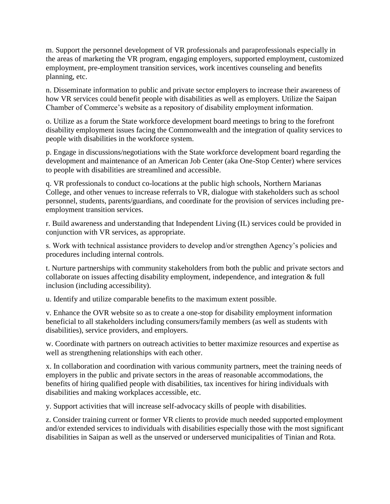m. Support the personnel development of VR professionals and paraprofessionals especially in the areas of marketing the VR program, engaging employers, supported employment, customized employment, pre-employment transition services, work incentives counseling and benefits planning, etc.

n. Disseminate information to public and private sector employers to increase their awareness of how VR services could benefit people with disabilities as well as employers. Utilize the Saipan Chamber of Commerce's website as a repository of disability employment information.

o. Utilize as a forum the State workforce development board meetings to bring to the forefront disability employment issues facing the Commonwealth and the integration of quality services to people with disabilities in the workforce system.

p. Engage in discussions/negotiations with the State workforce development board regarding the development and maintenance of an American Job Center (aka One-Stop Center) where services to people with disabilities are streamlined and accessible.

q. VR professionals to conduct co-locations at the public high schools, Northern Marianas College, and other venues to increase referrals to VR, dialogue with stakeholders such as school personnel, students, parents/guardians, and coordinate for the provision of services including preemployment transition services.

r. Build awareness and understanding that Independent Living (IL) services could be provided in conjunction with VR services, as appropriate.

s. Work with technical assistance providers to develop and/or strengthen Agency's policies and procedures including internal controls.

t. Nurture partnerships with community stakeholders from both the public and private sectors and collaborate on issues affecting disability employment, independence, and integration & full inclusion (including accessibility).

u. Identify and utilize comparable benefits to the maximum extent possible.

v. Enhance the OVR website so as to create a one-stop for disability employment information beneficial to all stakeholders including consumers/family members (as well as students with disabilities), service providers, and employers.

w. Coordinate with partners on outreach activities to better maximize resources and expertise as well as strengthening relationships with each other.

x. In collaboration and coordination with various community partners, meet the training needs of employers in the public and private sectors in the areas of reasonable accommodations, the benefits of hiring qualified people with disabilities, tax incentives for hiring individuals with disabilities and making workplaces accessible, etc.

y. Support activities that will increase self-advocacy skills of people with disabilities.

z. Consider training current or former VR clients to provide much needed supported employment and/or extended services to individuals with disabilities especially those with the most significant disabilities in Saipan as well as the unserved or underserved municipalities of Tinian and Rota.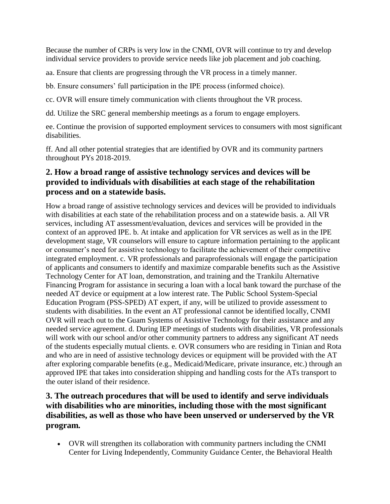Because the number of CRPs is very low in the CNMI, OVR will continue to try and develop individual service providers to provide service needs like job placement and job coaching.

aa. Ensure that clients are progressing through the VR process in a timely manner.

bb. Ensure consumers' full participation in the IPE process (informed choice).

cc. OVR will ensure timely communication with clients throughout the VR process.

dd. Utilize the SRC general membership meetings as a forum to engage employers.

ee. Continue the provision of supported employment services to consumers with most significant disabilities.

ff. And all other potential strategies that are identified by OVR and its community partners throughout PYs 2018-2019.

### **2. How a broad range of assistive technology services and devices will be provided to individuals with disabilities at each stage of the rehabilitation process and on a statewide basis.**

How a broad range of assistive technology services and devices will be provided to individuals with disabilities at each state of the rehabilitation process and on a statewide basis. a. All VR services, including AT assessment/evaluation, devices and services will be provided in the context of an approved IPE. b. At intake and application for VR services as well as in the IPE development stage, VR counselors will ensure to capture information pertaining to the applicant or consumer's need for assistive technology to facilitate the achievement of their competitive integrated employment. c. VR professionals and paraprofessionals will engage the participation of applicants and consumers to identify and maximize comparable benefits such as the Assistive Technology Center for AT loan, demonstration, and training and the Trankilu Alternative Financing Program for assistance in securing a loan with a local bank toward the purchase of the needed AT device or equipment at a low interest rate. The Public School System-Special Education Program (PSS-SPED) AT expert, if any, will be utilized to provide assessment to students with disabilities. In the event an AT professional cannot be identified locally, CNMI OVR will reach out to the Guam Systems of Assistive Technology for their assistance and any needed service agreement. d. During IEP meetings of students with disabilities, VR professionals will work with our school and/or other community partners to address any significant AT needs of the students especially mutual clients. e. OVR consumers who are residing in Tinian and Rota and who are in need of assistive technology devices or equipment will be provided with the AT after exploring comparable benefits (e.g., Medicaid/Medicare, private insurance, etc.) through an approved IPE that takes into consideration shipping and handling costs for the ATs transport to the outer island of their residence.

### **3. The outreach procedures that will be used to identify and serve individuals with disabilities who are minorities, including those with the most significant disabilities, as well as those who have been unserved or underserved by the VR program.**

 OVR will strengthen its collaboration with community partners including the CNMI Center for Living Independently, Community Guidance Center, the Behavioral Health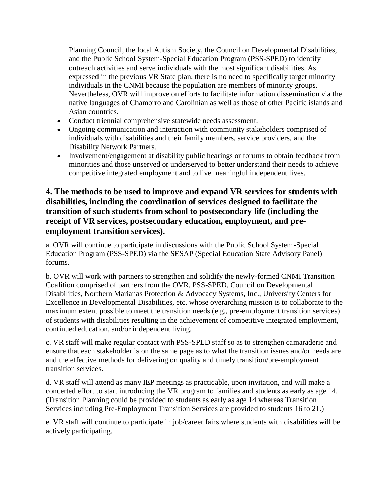Planning Council, the local Autism Society, the Council on Developmental Disabilities, and the Public School System-Special Education Program (PSS-SPED) to identify outreach activities and serve individuals with the most significant disabilities. As expressed in the previous VR State plan, there is no need to specifically target minority individuals in the CNMI because the population are members of minority groups. Nevertheless, OVR will improve on efforts to facilitate information dissemination via the native languages of Chamorro and Carolinian as well as those of other Pacific islands and Asian countries.

- Conduct triennial comprehensive statewide needs assessment.
- Ongoing communication and interaction with community stakeholders comprised of individuals with disabilities and their family members, service providers, and the Disability Network Partners.
- Involvement/engagement at disability public hearings or forums to obtain feedback from minorities and those unserved or underserved to better understand their needs to achieve competitive integrated employment and to live meaningful independent lives.

### **4. The methods to be used to improve and expand VR services for students with disabilities, including the coordination of services designed to facilitate the transition of such students from school to postsecondary life (including the receipt of VR services, postsecondary education, employment, and preemployment transition services).**

a. OVR will continue to participate in discussions with the Public School System-Special Education Program (PSS-SPED) via the SESAP (Special Education State Advisory Panel) forums.

b. OVR will work with partners to strengthen and solidify the newly-formed CNMI Transition Coalition comprised of partners from the OVR, PSS-SPED, Council on Developmental Disabilities, Northern Marianas Protection & Advocacy Systems, Inc., University Centers for Excellence in Developmental Disabilities, etc. whose overarching mission is to collaborate to the maximum extent possible to meet the transition needs (e.g., pre-employment transition services) of students with disabilities resulting in the achievement of competitive integrated employment, continued education, and/or independent living.

c. VR staff will make regular contact with PSS-SPED staff so as to strengthen camaraderie and ensure that each stakeholder is on the same page as to what the transition issues and/or needs are and the effective methods for delivering on quality and timely transition/pre-employment transition services.

d. VR staff will attend as many IEP meetings as practicable, upon invitation, and will make a concerted effort to start introducing the VR program to families and students as early as age 14. (Transition Planning could be provided to students as early as age 14 whereas Transition Services including Pre-Employment Transition Services are provided to students 16 to 21.)

e. VR staff will continue to participate in job/career fairs where students with disabilities will be actively participating.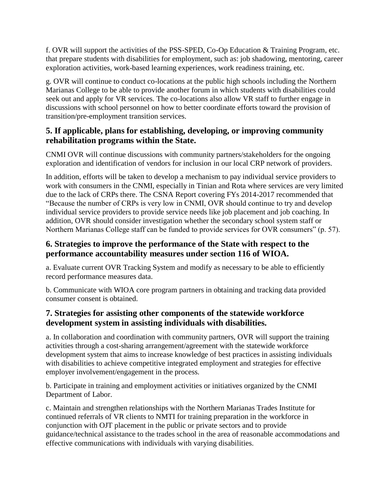f. OVR will support the activities of the PSS-SPED, Co-Op Education & Training Program, etc. that prepare students with disabilities for employment, such as: job shadowing, mentoring, career exploration activities, work-based learning experiences, work readiness training, etc.

g. OVR will continue to conduct co-locations at the public high schools including the Northern Marianas College to be able to provide another forum in which students with disabilities could seek out and apply for VR services. The co-locations also allow VR staff to further engage in discussions with school personnel on how to better coordinate efforts toward the provision of transition/pre-employment transition services.

### **5. If applicable, plans for establishing, developing, or improving community rehabilitation programs within the State.**

CNMI OVR will continue discussions with community partners/stakeholders for the ongoing exploration and identification of vendors for inclusion in our local CRP network of providers.

In addition, efforts will be taken to develop a mechanism to pay individual service providers to work with consumers in the CNMI, especially in Tinian and Rota where services are very limited due to the lack of CRPs there. The CSNA Report covering FYs 2014-2017 recommended that "Because the number of CRPs is very low in CNMI, OVR should continue to try and develop individual service providers to provide service needs like job placement and job coaching. In addition, OVR should consider investigation whether the secondary school system staff or Northern Marianas College staff can be funded to provide services for OVR consumers" (p. 57).

### **6. Strategies to improve the performance of the State with respect to the performance accountability measures under section 116 of WIOA.**

a. Evaluate current OVR Tracking System and modify as necessary to be able to efficiently record performance measures data.

b. Communicate with WIOA core program partners in obtaining and tracking data provided consumer consent is obtained.

### **7. Strategies for assisting other components of the statewide workforce development system in assisting individuals with disabilities.**

a. In collaboration and coordination with community partners, OVR will support the training activities through a cost-sharing arrangement/agreement with the statewide workforce development system that aims to increase knowledge of best practices in assisting individuals with disabilities to achieve competitive integrated employment and strategies for effective employer involvement/engagement in the process.

b. Participate in training and employment activities or initiatives organized by the CNMI Department of Labor.

c. Maintain and strengthen relationships with the Northern Marianas Trades Institute for continued referrals of VR clients to NMTI for training preparation in the workforce in conjunction with OJT placement in the public or private sectors and to provide guidance/technical assistance to the trades school in the area of reasonable accommodations and effective communications with individuals with varying disabilities.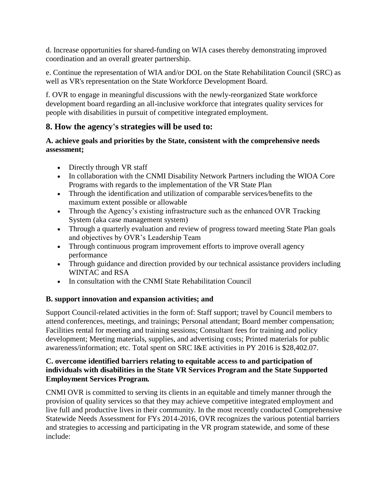d. Increase opportunities for shared-funding on WIA cases thereby demonstrating improved coordination and an overall greater partnership.

e. Continue the representation of WIA and/or DOL on the State Rehabilitation Council (SRC) as well as VR's representation on the State Workforce Development Board.

f. OVR to engage in meaningful discussions with the newly-reorganized State workforce development board regarding an all-inclusive workforce that integrates quality services for people with disabilities in pursuit of competitive integrated employment.

### **8. How the agency's strategies will be used to:**

#### **A. achieve goals and priorities by the State, consistent with the comprehensive needs assessment;**

- Directly through VR staff
- In collaboration with the CNMI Disability Network Partners including the WIOA Core Programs with regards to the implementation of the VR State Plan
- Through the identification and utilization of comparable services/benefits to the maximum extent possible or allowable
- Through the Agency's existing infrastructure such as the enhanced OVR Tracking System (aka case management system)
- Through a quarterly evaluation and review of progress toward meeting State Plan goals and objectives by OVR's Leadership Team
- Through continuous program improvement efforts to improve overall agency performance
- Through guidance and direction provided by our technical assistance providers including WINTAC and RSA
- In consultation with the CNMI State Rehabilitation Council

### **B. support innovation and expansion activities; and**

Support Council-related activities in the form of: Staff support; travel by Council members to attend conferences, meetings, and trainings; Personal attendant; Board member compensation; Facilities rental for meeting and training sessions; Consultant fees for training and policy development; Meeting materials, supplies, and advertising costs; Printed materials for public awareness/information; etc. Total spent on SRC I&E activities in PY 2016 is \$28,402.07.

#### **C. overcome identified barriers relating to equitable access to and participation of individuals with disabilities in the State VR Services Program and the State Supported Employment Services Program.**

CNMI OVR is committed to serving its clients in an equitable and timely manner through the provision of quality services so that they may achieve competitive integrated employment and live full and productive lives in their community. In the most recently conducted Comprehensive Statewide Needs Assessment for FYs 2014-2016, OVR recognizes the various potential barriers and strategies to accessing and participating in the VR program statewide, and some of these include: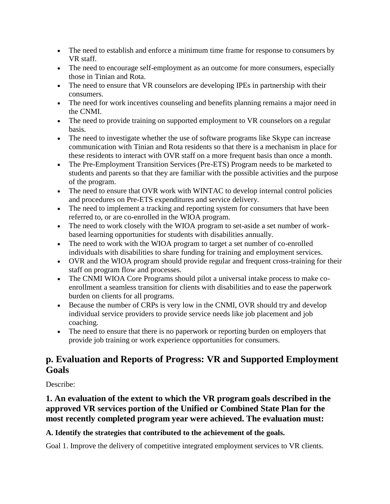- The need to establish and enforce a minimum time frame for response to consumers by VR staff.
- The need to encourage self-employment as an outcome for more consumers, especially those in Tinian and Rota.
- The need to ensure that VR counselors are developing IPEs in partnership with their consumers.
- The need for work incentives counseling and benefits planning remains a major need in the CNMI.
- The need to provide training on supported employment to VR counselors on a regular basis.
- The need to investigate whether the use of software programs like Skype can increase communication with Tinian and Rota residents so that there is a mechanism in place for these residents to interact with OVR staff on a more frequent basis than once a month.
- The Pre-Employment Transition Services (Pre-ETS) Program needs to be marketed to students and parents so that they are familiar with the possible activities and the purpose of the program.
- The need to ensure that OVR work with WINTAC to develop internal control policies and procedures on Pre-ETS expenditures and service delivery.
- The need to implement a tracking and reporting system for consumers that have been referred to, or are co-enrolled in the WIOA program.
- The need to work closely with the WIOA program to set-aside a set number of workbased learning opportunities for students with disabilities annually.
- The need to work with the WIOA program to target a set number of co-enrolled individuals with disabilities to share funding for training and employment services.
- OVR and the WIOA program should provide regular and frequent cross-training for their staff on program flow and processes.
- The CNMI WIOA Core Programs should pilot a universal intake process to make coenrollment a seamless transition for clients with disabilities and to ease the paperwork burden on clients for all programs.
- Because the number of CRPs is very low in the CNMI, OVR should try and develop individual service providers to provide service needs like job placement and job coaching.
- The need to ensure that there is no paperwork or reporting burden on employers that provide job training or work experience opportunities for consumers.

## **p. Evaluation and Reports of Progress: VR and Supported Employment Goals**

Describe:

### **1. An evaluation of the extent to which the VR program goals described in the approved VR services portion of the Unified or Combined State Plan for the most recently completed program year were achieved. The evaluation must:**

### **A. Identify the strategies that contributed to the achievement of the goals.**

Goal 1. Improve the delivery of competitive integrated employment services to VR clients.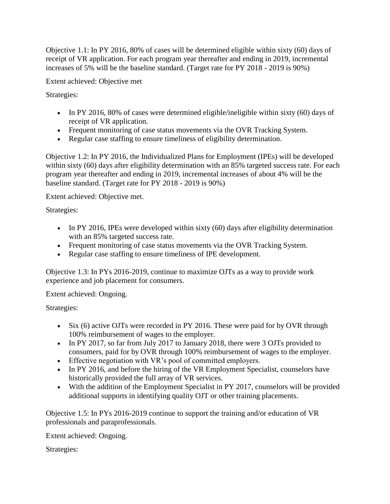Objective 1.1: In PY 2016, 80% of cases will be determined eligible within sixty (60) days of receipt of VR application. For each program year thereafter and ending in 2019, incremental increases of 5% will be the baseline standard. (Target rate for PY 2018 - 2019 is 90%)

Extent achieved: Objective met

Strategies:

- In PY 2016, 80% of cases were determined eligible/ineligible within sixty  $(60)$  days of receipt of VR application.
- Frequent monitoring of case status movements via the OVR Tracking System.
- Regular case staffing to ensure timeliness of eligibility determination.

Objective 1.2: In PY 2016, the Individualized Plans for Employment (IPEs) will be developed within sixty (60) days after eligibility determination with an 85% targeted success rate. For each program year thereafter and ending in 2019, incremental increases of about 4% will be the baseline standard. (Target rate for PY 2018 - 2019 is 90%)

Extent achieved: Objective met.

Strategies:

- $\blacksquare$  In PY 2016, IPEs were developed within sixty (60) days after eligibility determination with an 85% targeted success rate.
- Frequent monitoring of case status movements via the OVR Tracking System.
- Regular case staffing to ensure timeliness of IPE development.

Objective 1.3: In PYs 2016-2019, continue to maximize OJTs as a way to provide work experience and job placement for consumers.

Extent achieved: Ongoing.

Strategies:

- $\sim$  Six (6) active OJTs were recorded in PY 2016. These were paid for by OVR through 100% reimbursement of wages to the employer.
- In PY 2017, so far from July 2017 to January 2018, there were 3 OJTs provided to consumers, paid for by OVR through 100% reimbursement of wages to the employer.
- Effective negotiation with VR's pool of committed employers.
- In PY 2016, and before the hiring of the VR Employment Specialist, counselors have historically provided the full array of VR services.
- With the addition of the Employment Specialist in PY 2017, counselors will be provided additional supports in identifying quality OJT or other training placements.

Objective 1.5: In PYs 2016-2019 continue to support the training and/or education of VR professionals and paraprofessionals.

Extent achieved: Ongoing.

Strategies: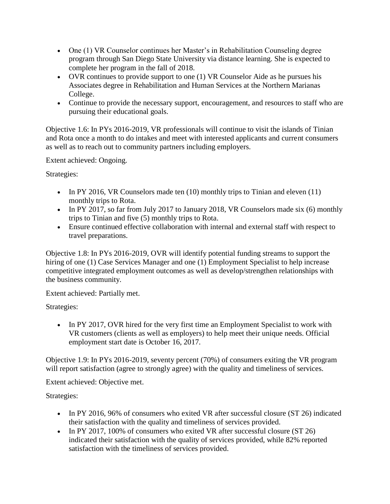- One (1) VR Counselor continues her Master's in Rehabilitation Counseling degree program through San Diego State University via distance learning. She is expected to complete her program in the fall of 2018.
- OVR continues to provide support to one (1) VR Counselor Aide as he pursues his Associates degree in Rehabilitation and Human Services at the Northern Marianas College.
- Continue to provide the necessary support, encouragement, and resources to staff who are pursuing their educational goals.

Objective 1.6: In PYs 2016-2019, VR professionals will continue to visit the islands of Tinian and Rota once a month to do intakes and meet with interested applicants and current consumers as well as to reach out to community partners including employers.

Extent achieved: Ongoing.

Strategies:

- In PY 2016, VR Counselors made ten  $(10)$  monthly trips to Tinian and eleven  $(11)$ monthly trips to Rota.
- In PY 2017, so far from July 2017 to January 2018, VR Counselors made six (6) monthly trips to Tinian and five (5) monthly trips to Rota.
- Ensure continued effective collaboration with internal and external staff with respect to travel preparations.

Objective 1.8: In PYs 2016-2019, OVR will identify potential funding streams to support the hiring of one (1) Case Services Manager and one (1) Employment Specialist to help increase competitive integrated employment outcomes as well as develop/strengthen relationships with the business community.

Extent achieved: Partially met.

Strategies:

• In PY 2017, OVR hired for the very first time an Employment Specialist to work with VR customers (clients as well as employers) to help meet their unique needs. Official employment start date is October 16, 2017.

Objective 1.9: In PYs 2016-2019, seventy percent (70%) of consumers exiting the VR program will report satisfaction (agree to strongly agree) with the quality and timeliness of services.

Extent achieved: Objective met.

Strategies:

- In PY 2016, 96% of consumers who exited VR after successful closure (ST 26) indicated their satisfaction with the quality and timeliness of services provided.
- In PY 2017, 100% of consumers who exited VR after successful closure (ST 26) indicated their satisfaction with the quality of services provided, while 82% reported satisfaction with the timeliness of services provided.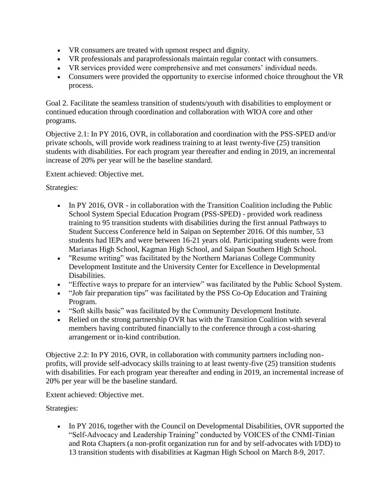- VR consumers are treated with upmost respect and dignity.
- VR professionals and paraprofessionals maintain regular contact with consumers.
- VR services provided were comprehensive and met consumers' individual needs.
- Consumers were provided the opportunity to exercise informed choice throughout the VR process.

Goal 2. Facilitate the seamless transition of students/youth with disabilities to employment or continued education through coordination and collaboration with WIOA core and other programs.

Objective 2.1: In PY 2016, OVR, in collaboration and coordination with the PSS-SPED and/or private schools, will provide work readiness training to at least twenty-five (25) transition students with disabilities. For each program year thereafter and ending in 2019, an incremental increase of 20% per year will be the baseline standard.

Extent achieved: Objective met.

Strategies:

- In PY 2016, OVR in collaboration with the Transition Coalition including the Public School System Special Education Program (PSS-SPED) - provided work readiness training to 95 transition students with disabilities during the first annual Pathways to Student Success Conference held in Saipan on September 2016. Of this number, 53 students had IEPs and were between 16-21 years old. Participating students were from Marianas High School, Kagman High School, and Saipan Southern High School.
- "Resume writing" was facilitated by the Northern Marianas College Community Development Institute and the University Center for Excellence in Developmental Disabilities.
- "Effective ways to prepare for an interview" was facilitated by the Public School System.
- "Job fair preparation tips" was facilitated by the PSS Co-Op Education and Training Program.
- "Soft skills basic" was facilitated by the Community Development Institute.
- Relied on the strong partnership OVR has with the Transition Coalition with several members having contributed financially to the conference through a cost-sharing arrangement or in-kind contribution.

Objective 2.2: In PY 2016, OVR, in collaboration with community partners including nonprofits, will provide self-advocacy skills training to at least twenty-five (25) transition students with disabilities. For each program year thereafter and ending in 2019, an incremental increase of 20% per year will be the baseline standard.

Extent achieved: Objective met.

Strategies:

In PY 2016, together with the Council on Developmental Disabilities, OVR supported the "Self-Advocacy and Leadership Training" conducted by VOICES of the CNMI-Tinian and Rota Chapters (a non-profit organization run for and by self-advocates with I/DD) to 13 transition students with disabilities at Kagman High School on March 8-9, 2017.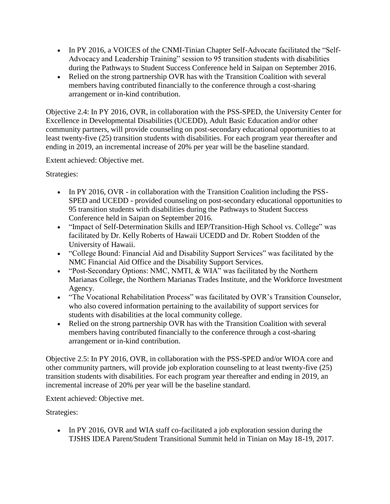- In PY 2016, a VOICES of the CNMI-Tinian Chapter Self-Advocate facilitated the "Self-Advocacy and Leadership Training" session to 95 transition students with disabilities during the Pathways to Student Success Conference held in Saipan on September 2016.
- Relied on the strong partnership OVR has with the Transition Coalition with several members having contributed financially to the conference through a cost-sharing arrangement or in-kind contribution.

Objective 2.4: In PY 2016, OVR, in collaboration with the PSS-SPED, the University Center for Excellence in Developmental Disabilities (UCEDD), Adult Basic Education and/or other community partners, will provide counseling on post-secondary educational opportunities to at least twenty-five (25) transition students with disabilities. For each program year thereafter and ending in 2019, an incremental increase of 20% per year will be the baseline standard.

Extent achieved: Objective met.

Strategies:

- In PY 2016, OVR in collaboration with the Transition Coalition including the PSS-SPED and UCEDD - provided counseling on post-secondary educational opportunities to 95 transition students with disabilities during the Pathways to Student Success Conference held in Saipan on September 2016.
- "Impact of Self-Determination Skills and IEP/Transition-High School vs. College" was facilitated by Dr. Kelly Roberts of Hawaii UCEDD and Dr. Robert Stodden of the University of Hawaii.
- "College Bound: Financial Aid and Disability Support Services" was facilitated by the NMC Financial Aid Office and the Disability Support Services.
- "Post-Secondary Options: NMC, NMTI, & WIA" was facilitated by the Northern Marianas College, the Northern Marianas Trades Institute, and the Workforce Investment Agency.
- "The Vocational Rehabilitation Process" was facilitated by OVR's Transition Counselor, who also covered information pertaining to the availability of support services for students with disabilities at the local community college.
- Relied on the strong partnership OVR has with the Transition Coalition with several members having contributed financially to the conference through a cost-sharing arrangement or in-kind contribution.

Objective 2.5: In PY 2016, OVR, in collaboration with the PSS-SPED and/or WIOA core and other community partners, will provide job exploration counseling to at least twenty-five (25) transition students with disabilities. For each program year thereafter and ending in 2019, an incremental increase of 20% per year will be the baseline standard.

Extent achieved: Objective met.

Strategies:

• In PY 2016, OVR and WIA staff co-facilitated a job exploration session during the TJSHS IDEA Parent/Student Transitional Summit held in Tinian on May 18-19, 2017.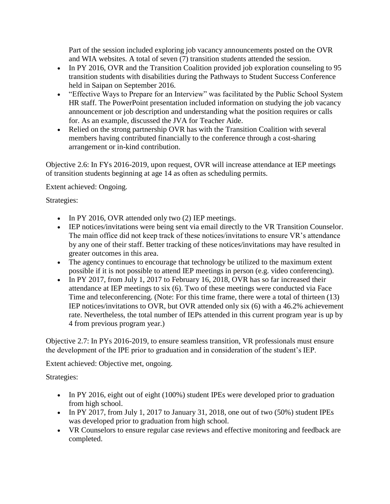Part of the session included exploring job vacancy announcements posted on the OVR and WIA websites. A total of seven (7) transition students attended the session.

- In PY 2016, OVR and the Transition Coalition provided job exploration counseling to 95 transition students with disabilities during the Pathways to Student Success Conference held in Saipan on September 2016.
- "Effective Ways to Prepare for an Interview" was facilitated by the Public School System HR staff. The PowerPoint presentation included information on studying the job vacancy announcement or job description and understanding what the position requires or calls for. As an example, discussed the JVA for Teacher Aide.
- Relied on the strong partnership OVR has with the Transition Coalition with several members having contributed financially to the conference through a cost-sharing arrangement or in-kind contribution.

Objective 2.6: In FYs 2016-2019, upon request, OVR will increase attendance at IEP meetings of transition students beginning at age 14 as often as scheduling permits.

Extent achieved: Ongoing.

Strategies:

- In PY 2016, OVR attended only two (2) IEP meetings.
- IEP notices/invitations were being sent via email directly to the VR Transition Counselor. The main office did not keep track of these notices/invitations to ensure VR's attendance by any one of their staff. Better tracking of these notices/invitations may have resulted in greater outcomes in this area.
- The agency continues to encourage that technology be utilized to the maximum extent possible if it is not possible to attend IEP meetings in person (e.g. video conferencing).
- In PY 2017, from July 1, 2017 to February 16, 2018, OVR has so far increased their attendance at IEP meetings to six (6). Two of these meetings were conducted via Face Time and teleconferencing. (Note: For this time frame, there were a total of thirteen (13) IEP notices/invitations to OVR, but OVR attended only six (6) with a 46.2% achievement rate. Nevertheless, the total number of IEPs attended in this current program year is up by 4 from previous program year.)

Objective 2.7: In PYs 2016-2019, to ensure seamless transition, VR professionals must ensure the development of the IPE prior to graduation and in consideration of the student's IEP.

Extent achieved: Objective met, ongoing.

Strategies:

- In PY 2016, eight out of eight (100%) student IPEs were developed prior to graduation from high school.
- In PY 2017, from July 1, 2017 to January 31, 2018, one out of two  $(50\%)$  student IPEs was developed prior to graduation from high school.
- VR Counselors to ensure regular case reviews and effective monitoring and feedback are completed.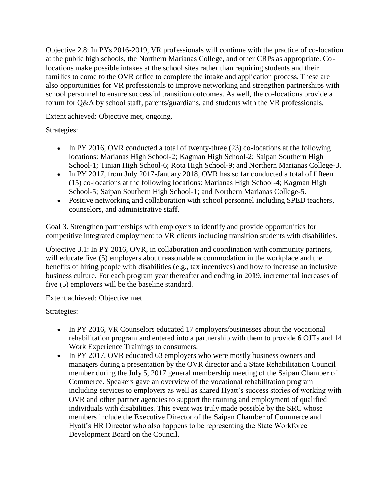Objective 2.8: In PYs 2016-2019, VR professionals will continue with the practice of co-location at the public high schools, the Northern Marianas College, and other CRPs as appropriate. Colocations make possible intakes at the school sites rather than requiring students and their families to come to the OVR office to complete the intake and application process. These are also opportunities for VR professionals to improve networking and strengthen partnerships with school personnel to ensure successful transition outcomes. As well, the co-locations provide a forum for Q&A by school staff, parents/guardians, and students with the VR professionals.

Extent achieved: Objective met, ongoing.

Strategies:

- In PY 2016, OVR conducted a total of twenty-three (23) co-locations at the following locations: Marianas High School-2; Kagman High School-2; Saipan Southern High School-1; Tinian High School-6; Rota High School-9; and Northern Marianas College-3.
- In PY 2017, from July 2017-January 2018, OVR has so far conducted a total of fifteen (15) co-locations at the following locations: Marianas High School-4; Kagman High School-5; Saipan Southern High School-1; and Northern Marianas College-5.
- Positive networking and collaboration with school personnel including SPED teachers, counselors, and administrative staff.

Goal 3. Strengthen partnerships with employers to identify and provide opportunities for competitive integrated employment to VR clients including transition students with disabilities.

Objective 3.1: In PY 2016, OVR, in collaboration and coordination with community partners, will educate five (5) employers about reasonable accommodation in the workplace and the benefits of hiring people with disabilities (e.g., tax incentives) and how to increase an inclusive business culture. For each program year thereafter and ending in 2019, incremental increases of five (5) employers will be the baseline standard.

Extent achieved: Objective met.

Strategies:

- In PY 2016, VR Counselors educated 17 employers/businesses about the vocational rehabilitation program and entered into a partnership with them to provide 6 OJTs and 14 Work Experience Trainings to consumers.
- In PY 2017, OVR educated 63 employers who were mostly business owners and managers during a presentation by the OVR director and a State Rehabilitation Council member during the July 5, 2017 general membership meeting of the Saipan Chamber of Commerce. Speakers gave an overview of the vocational rehabilitation program including services to employers as well as shared Hyatt's success stories of working with OVR and other partner agencies to support the training and employment of qualified individuals with disabilities. This event was truly made possible by the SRC whose members include the Executive Director of the Saipan Chamber of Commerce and Hyatt's HR Director who also happens to be representing the State Workforce Development Board on the Council.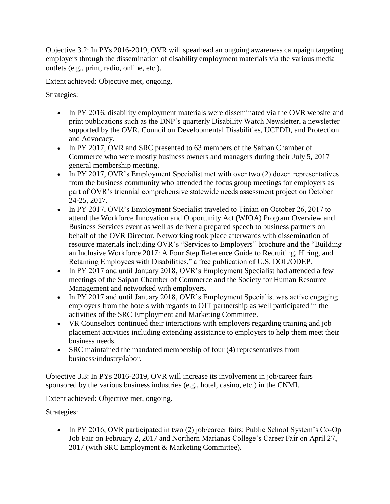Objective 3.2: In PYs 2016-2019, OVR will spearhead an ongoing awareness campaign targeting employers through the dissemination of disability employment materials via the various media outlets (e.g., print, radio, online, etc.).

Extent achieved: Objective met, ongoing.

Strategies:

- In PY 2016, disability employment materials were disseminated via the OVR website and print publications such as the DNP's quarterly Disability Watch Newsletter, a newsletter supported by the OVR, Council on Developmental Disabilities, UCEDD, and Protection and Advocacy.
- In PY 2017, OVR and SRC presented to 63 members of the Saipan Chamber of Commerce who were mostly business owners and managers during their July 5, 2017 general membership meeting.
- In PY 2017, OVR's Employment Specialist met with over two (2) dozen representatives from the business community who attended the focus group meetings for employers as part of OVR's triennial comprehensive statewide needs assessment project on October 24-25, 2017.
- In PY 2017, OVR's Employment Specialist traveled to Tinian on October 26, 2017 to attend the Workforce Innovation and Opportunity Act (WIOA) Program Overview and Business Services event as well as deliver a prepared speech to business partners on behalf of the OVR Director. Networking took place afterwards with dissemination of resource materials including OVR's "Services to Employers" brochure and the "Building an Inclusive Workforce 2017: A Four Step Reference Guide to Recruiting, Hiring, and Retaining Employees with Disabilities," a free publication of U.S. DOL/ODEP.
- In PY 2017 and until January 2018, OVR's Employment Specialist had attended a few meetings of the Saipan Chamber of Commerce and the Society for Human Resource Management and networked with employers.
- In PY 2017 and until January 2018, OVR's Employment Specialist was active engaging employers from the hotels with regards to OJT partnership as well participated in the activities of the SRC Employment and Marketing Committee.
- VR Counselors continued their interactions with employers regarding training and job placement activities including extending assistance to employers to help them meet their business needs.
- SRC maintained the mandated membership of four (4) representatives from business/industry/labor.

Objective 3.3: In PYs 2016-2019, OVR will increase its involvement in job/career fairs sponsored by the various business industries (e.g., hotel, casino, etc.) in the CNMI.

Extent achieved: Objective met, ongoing.

Strategies:

In PY 2016, OVR participated in two  $(2)$  job/career fairs: Public School System's Co-Op Job Fair on February 2, 2017 and Northern Marianas College's Career Fair on April 27, 2017 (with SRC Employment & Marketing Committee).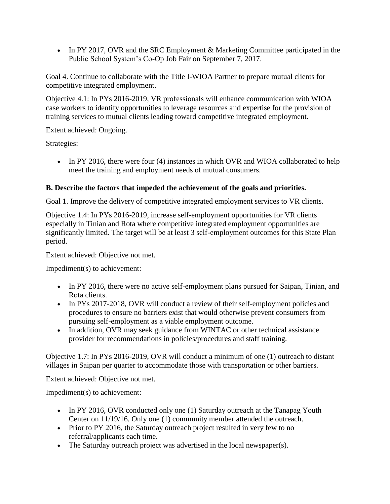In PY 2017, OVR and the SRC Employment & Marketing Committee participated in the Public School System's Co-Op Job Fair on September 7, 2017.

Goal 4. Continue to collaborate with the Title I-WIOA Partner to prepare mutual clients for competitive integrated employment.

Objective 4.1: In PYs 2016-2019, VR professionals will enhance communication with WIOA case workers to identify opportunities to leverage resources and expertise for the provision of training services to mutual clients leading toward competitive integrated employment.

Extent achieved: Ongoing.

Strategies:

• In PY 2016, there were four (4) instances in which OVR and WIOA collaborated to help meet the training and employment needs of mutual consumers.

#### **B. Describe the factors that impeded the achievement of the goals and priorities.**

Goal 1. Improve the delivery of competitive integrated employment services to VR clients.

Objective 1.4: In PYs 2016-2019, increase self-employment opportunities for VR clients especially in Tinian and Rota where competitive integrated employment opportunities are significantly limited. The target will be at least 3 self-employment outcomes for this State Plan period.

Extent achieved: Objective not met.

Impediment(s) to achievement:

- In PY 2016, there were no active self-employment plans pursued for Saipan, Tinian, and Rota clients.
- In PYs 2017-2018, OVR will conduct a review of their self-employment policies and procedures to ensure no barriers exist that would otherwise prevent consumers from pursuing self-employment as a viable employment outcome.
- In addition, OVR may seek guidance from WINTAC or other technical assistance provider for recommendations in policies/procedures and staff training.

Objective 1.7: In PYs 2016-2019, OVR will conduct a minimum of one (1) outreach to distant villages in Saipan per quarter to accommodate those with transportation or other barriers.

Extent achieved: Objective not met.

Impediment(s) to achievement:

- In PY 2016, OVR conducted only one (1) Saturday outreach at the Tanapag Youth Center on 11/19/16. Only one (1) community member attended the outreach.
- Prior to PY 2016, the Saturday outreach project resulted in very few to no referral/applicants each time.
- The Saturday outreach project was advertised in the local newspaper(s).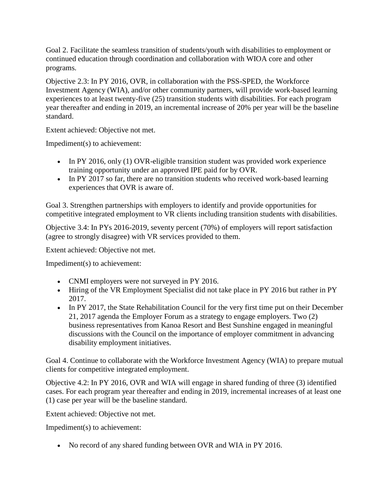Goal 2. Facilitate the seamless transition of students/youth with disabilities to employment or continued education through coordination and collaboration with WIOA core and other programs.

Objective 2.3: In PY 2016, OVR, in collaboration with the PSS-SPED, the Workforce Investment Agency (WIA), and/or other community partners, will provide work-based learning experiences to at least twenty-five (25) transition students with disabilities. For each program year thereafter and ending in 2019, an incremental increase of 20% per year will be the baseline standard.

Extent achieved: Objective not met.

Impediment(s) to achievement:

- In PY 2016, only (1) OVR-eligible transition student was provided work experience training opportunity under an approved IPE paid for by OVR.
- In PY 2017 so far, there are no transition students who received work-based learning experiences that OVR is aware of.

Goal 3. Strengthen partnerships with employers to identify and provide opportunities for competitive integrated employment to VR clients including transition students with disabilities.

Objective 3.4: In PYs 2016-2019, seventy percent (70%) of employers will report satisfaction (agree to strongly disagree) with VR services provided to them.

Extent achieved: Objective not met.

Impediment(s) to achievement:

- CNMI employers were not surveyed in PY 2016.
- Hiring of the VR Employment Specialist did not take place in PY 2016 but rather in PY 2017.
- In PY 2017, the State Rehabilitation Council for the very first time put on their December 21, 2017 agenda the Employer Forum as a strategy to engage employers. Two (2) business representatives from Kanoa Resort and Best Sunshine engaged in meaningful discussions with the Council on the importance of employer commitment in advancing disability employment initiatives.

Goal 4. Continue to collaborate with the Workforce Investment Agency (WIA) to prepare mutual clients for competitive integrated employment.

Objective 4.2: In PY 2016, OVR and WIA will engage in shared funding of three (3) identified cases. For each program year thereafter and ending in 2019, incremental increases of at least one (1) case per year will be the baseline standard.

Extent achieved: Objective not met.

Impediment(s) to achievement:

• No record of any shared funding between OVR and WIA in PY 2016.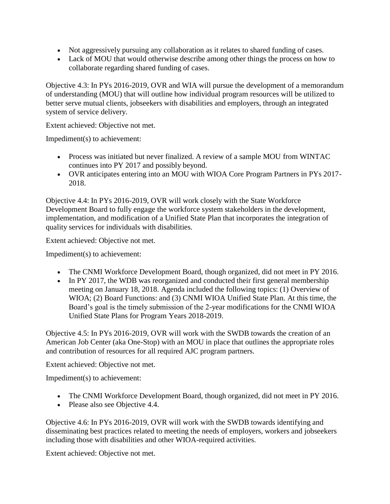- Not aggressively pursuing any collaboration as it relates to shared funding of cases.
- Lack of MOU that would otherwise describe among other things the process on how to collaborate regarding shared funding of cases.

Objective 4.3: In PYs 2016-2019, OVR and WIA will pursue the development of a memorandum of understanding (MOU) that will outline how individual program resources will be utilized to better serve mutual clients, jobseekers with disabilities and employers, through an integrated system of service delivery.

Extent achieved: Objective not met.

Impediment(s) to achievement:

- Process was initiated but never finalized. A review of a sample MOU from WINTAC continues into PY 2017 and possibly beyond.
- OVR anticipates entering into an MOU with WIOA Core Program Partners in PYs 2017- 2018.

Objective 4.4: In PYs 2016-2019, OVR will work closely with the State Workforce Development Board to fully engage the workforce system stakeholders in the development, implementation, and modification of a Unified State Plan that incorporates the integration of quality services for individuals with disabilities.

Extent achieved: Objective not met.

Impediment(s) to achievement:

- The CNMI Workforce Development Board, though organized, did not meet in PY 2016.
- In PY 2017, the WDB was reorganized and conducted their first general membership meeting on January 18, 2018. Agenda included the following topics: (1) Overview of WIOA; (2) Board Functions: and (3) CNMI WIOA Unified State Plan. At this time, the Board's goal is the timely submission of the 2-year modifications for the CNMI WIOA Unified State Plans for Program Years 2018-2019.

Objective 4.5: In PYs 2016-2019, OVR will work with the SWDB towards the creation of an American Job Center (aka One-Stop) with an MOU in place that outlines the appropriate roles and contribution of resources for all required AJC program partners.

Extent achieved: Objective not met.

Impediment(s) to achievement:

- The CNMI Workforce Development Board, though organized, did not meet in PY 2016.
- Please also see Objective 4.4.

Objective 4.6: In PYs 2016-2019, OVR will work with the SWDB towards identifying and disseminating best practices related to meeting the needs of employers, workers and jobseekers including those with disabilities and other WIOA-required activities.

Extent achieved: Objective not met.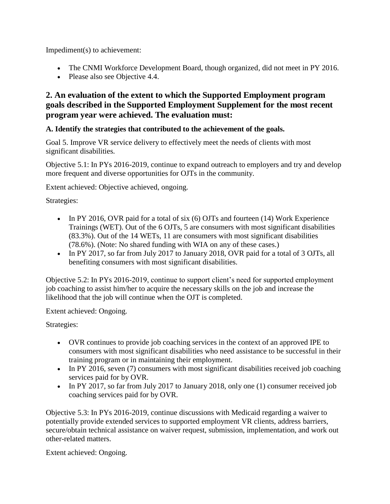Impediment(s) to achievement:

- The CNMI Workforce Development Board, though organized, did not meet in PY 2016.
- Please also see Objective 4.4.

### **2. An evaluation of the extent to which the Supported Employment program goals described in the Supported Employment Supplement for the most recent program year were achieved. The evaluation must:**

#### **A. Identify the strategies that contributed to the achievement of the goals.**

Goal 5. Improve VR service delivery to effectively meet the needs of clients with most significant disabilities.

Objective 5.1: In PYs 2016-2019, continue to expand outreach to employers and try and develop more frequent and diverse opportunities for OJTs in the community.

Extent achieved: Objective achieved, ongoing.

Strategies:

- In PY 2016, OVR paid for a total of six  $(6)$  OJTs and fourteen (14) Work Experience Trainings (WET). Out of the 6 OJTs, 5 are consumers with most significant disabilities (83.3%). Out of the 14 WETs, 11 are consumers with most significant disabilities (78.6%). (Note: No shared funding with WIA on any of these cases.)
- In PY 2017, so far from July 2017 to January 2018, OVR paid for a total of 3 OJTs, all benefiting consumers with most significant disabilities.

Objective 5.2: In PYs 2016-2019, continue to support client's need for supported employment job coaching to assist him/her to acquire the necessary skills on the job and increase the likelihood that the job will continue when the OJT is completed.

Extent achieved: Ongoing.

Strategies:

- OVR continues to provide job coaching services in the context of an approved IPE to consumers with most significant disabilities who need assistance to be successful in their training program or in maintaining their employment.
- In PY 2016, seven (7) consumers with most significant disabilities received job coaching services paid for by OVR.
- In PY 2017, so far from July 2017 to January 2018, only one (1) consumer received job coaching services paid for by OVR.

Objective 5.3: In PYs 2016-2019, continue discussions with Medicaid regarding a waiver to potentially provide extended services to supported employment VR clients, address barriers, secure/obtain technical assistance on waiver request, submission, implementation, and work out other-related matters.

Extent achieved: Ongoing.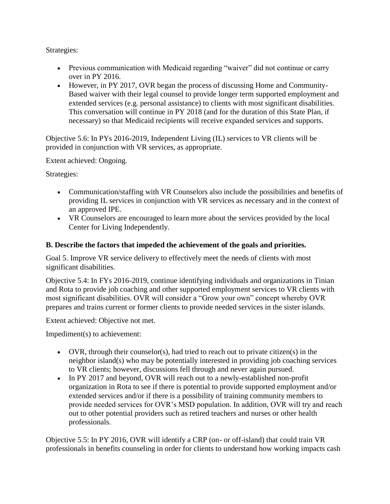Strategies:

- Previous communication with Medicaid regarding "waiver" did not continue or carry over in PY 2016.
- However, in PY 2017, OVR began the process of discussing Home and Community-Based waiver with their legal counsel to provide longer term supported employment and extended services (e.g. personal assistance) to clients with most significant disabilities. This conversation will continue in PY 2018 (and for the duration of this State Plan, if necessary) so that Medicaid recipients will receive expanded services and supports.

Objective 5.6: In PYs 2016-2019, Independent Living (IL) services to VR clients will be provided in conjunction with VR services, as appropriate.

Extent achieved: Ongoing.

Strategies:

- Communication/staffing with VR Counselors also include the possibilities and benefits of providing IL services in conjunction with VR services as necessary and in the context of an approved IPE.
- VR Counselors are encouraged to learn more about the services provided by the local Center for Living Independently.

#### **B. Describe the factors that impeded the achievement of the goals and priorities.**

Goal 5. Improve VR service delivery to effectively meet the needs of clients with most significant disabilities.

Objective 5.4: In FYs 2016-2019, continue identifying individuals and organizations in Tinian and Rota to provide job coaching and other supported employment services to VR clients with most significant disabilities. OVR will consider a "Grow your own" concept whereby OVR prepares and trains current or former clients to provide needed services in the sister islands.

Extent achieved: Objective not met.

Impediment(s) to achievement:

- $\bullet$  OVR, through their counselor(s), had tried to reach out to private citizen(s) in the neighbor island(s) who may be potentially interested in providing job coaching services to VR clients; however, discussions fell through and never again pursued.
- In PY 2017 and beyond, OVR will reach out to a newly-established non-profit organization in Rota to see if there is potential to provide supported employment and/or extended services and/or if there is a possibility of training community members to provide needed services for OVR's MSD population. In addition, OVR will try and reach out to other potential providers such as retired teachers and nurses or other health professionals.

Objective 5.5: In PY 2016, OVR will identify a CRP (on- or off-island) that could train VR professionals in benefits counseling in order for clients to understand how working impacts cash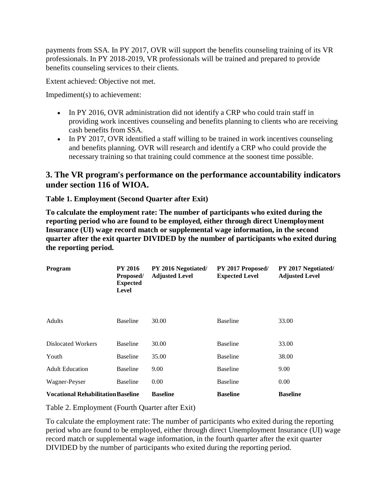payments from SSA. In PY 2017, OVR will support the benefits counseling training of its VR professionals. In PY 2018-2019, VR professionals will be trained and prepared to provide benefits counseling services to their clients.

Extent achieved: Objective not met.

Impediment(s) to achievement:

- In PY 2016, OVR administration did not identify a CRP who could train staff in providing work incentives counseling and benefits planning to clients who are receiving cash benefits from SSA.
- In PY 2017, OVR identified a staff willing to be trained in work incentives counseling and benefits planning. OVR will research and identify a CRP who could provide the necessary training so that training could commence at the soonest time possible.

### **3. The VR program's performance on the performance accountability indicators under section 116 of WIOA.**

#### **Table 1. Employment (Second Quarter after Exit)**

**To calculate the employment rate: The number of participants who exited during the reporting period who are found to be employed, either through direct Unemployment Insurance (UI) wage record match or supplemental wage information, in the second quarter after the exit quarter DIVIDED by the number of participants who exited during the reporting period.**

| Program                                   | <b>PY 2016</b><br>Proposed/<br><b>Expected</b><br><b>Level</b> | PY 2016 Negotiated/<br><b>Adjusted Level</b> | PY 2017 Proposed/<br><b>Expected Level</b> | PY 2017 Negotiated/<br><b>Adjusted Level</b> |
|-------------------------------------------|----------------------------------------------------------------|----------------------------------------------|--------------------------------------------|----------------------------------------------|
| <b>Adults</b>                             | <b>Baseline</b>                                                | 30.00                                        | <b>Baseline</b>                            | 33.00                                        |
| <b>Dislocated Workers</b>                 | <b>Baseline</b>                                                | 30.00                                        | <b>Baseline</b>                            | 33.00                                        |
| Youth                                     | <b>Baseline</b>                                                | 35.00                                        | <b>Baseline</b>                            | 38.00                                        |
| <b>Adult Education</b>                    | <b>Baseline</b>                                                | 9.00                                         | <b>Baseline</b>                            | 9.00                                         |
| Wagner-Peyser                             | <b>Baseline</b>                                                | 0.00                                         | <b>Baseline</b>                            | 0.00                                         |
| <b>Vocational Rehabilitation Baseline</b> |                                                                | <b>Baseline</b>                              | <b>Baseline</b>                            | <b>Baseline</b>                              |

Table 2. Employment (Fourth Quarter after Exit)

To calculate the employment rate: The number of participants who exited during the reporting period who are found to be employed, either through direct Unemployment Insurance (UI) wage record match or supplemental wage information, in the fourth quarter after the exit quarter DIVIDED by the number of participants who exited during the reporting period.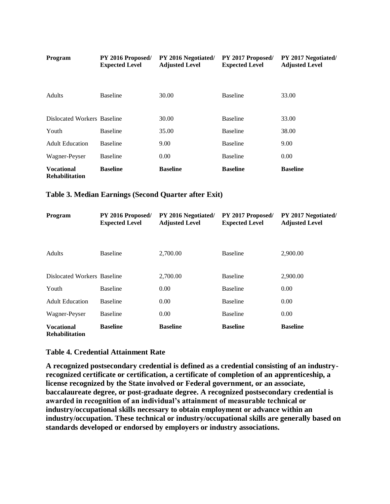| Program                                    | PY 2016 Proposed/<br><b>Expected Level</b> | PY 2016 Negotiated/<br><b>Adjusted Level</b> | PY 2017 Proposed/<br><b>Expected Level</b> | <b>PY 2017 Negotiated/</b><br><b>Adjusted Level</b> |
|--------------------------------------------|--------------------------------------------|----------------------------------------------|--------------------------------------------|-----------------------------------------------------|
| <b>Adults</b>                              | <b>Baseline</b>                            | 30.00                                        | <b>Baseline</b>                            | 33.00                                               |
| Dislocated Workers Baseline                |                                            | 30.00                                        | <b>Baseline</b>                            | 33.00                                               |
| Youth                                      | <b>Baseline</b>                            | 35.00                                        | <b>Baseline</b>                            | 38.00                                               |
| <b>Adult Education</b>                     | <b>Baseline</b>                            | 9.00                                         | <b>Baseline</b>                            | 9.00                                                |
| Wagner-Peyser                              | <b>Baseline</b>                            | 0.00                                         | <b>Baseline</b>                            | 0.00                                                |
| <b>Vocational</b><br><b>Rehabilitation</b> | <b>Baseline</b>                            | <b>Baseline</b>                              | <b>Baseline</b>                            | <b>Baseline</b>                                     |

#### **Table 3. Median Earnings (Second Quarter after Exit)**

| Program                                    | PY 2016 Proposed/<br><b>Expected Level</b> | <b>PY 2016 Negotiated/</b><br><b>Adjusted Level</b> | PY 2017 Proposed/<br><b>Expected Level</b> | PY 2017 Negotiated/<br><b>Adjusted Level</b> |
|--------------------------------------------|--------------------------------------------|-----------------------------------------------------|--------------------------------------------|----------------------------------------------|
| <b>Adults</b>                              | <b>Baseline</b>                            | 2,700.00                                            | <b>Baseline</b>                            | 2,900.00                                     |
| Dislocated Workers Baseline                |                                            | 2,700.00                                            | <b>Baseline</b>                            | 2,900.00                                     |
| Youth                                      | <b>Baseline</b>                            | 0.00                                                | <b>Baseline</b>                            | 0.00                                         |
| <b>Adult Education</b>                     | <b>Baseline</b>                            | 0.00                                                | <b>Baseline</b>                            | 0.00                                         |
| Wagner-Peyser                              | <b>Baseline</b>                            | 0.00                                                | <b>Baseline</b>                            | 0.00                                         |
| <b>Vocational</b><br><b>Rehabilitation</b> | <b>Baseline</b>                            | <b>Baseline</b>                                     | <b>Baseline</b>                            | <b>Baseline</b>                              |

#### **Table 4. Credential Attainment Rate**

**A recognized postsecondary credential is defined as a credential consisting of an industryrecognized certificate or certification, a certificate of completion of an apprenticeship, a license recognized by the State involved or Federal government, or an associate, baccalaureate degree, or post-graduate degree. A recognized postsecondary credential is awarded in recognition of an individual's attainment of measurable technical or industry/occupational skills necessary to obtain employment or advance within an industry/occupation. These technical or industry/occupational skills are generally based on standards developed or endorsed by employers or industry associations.**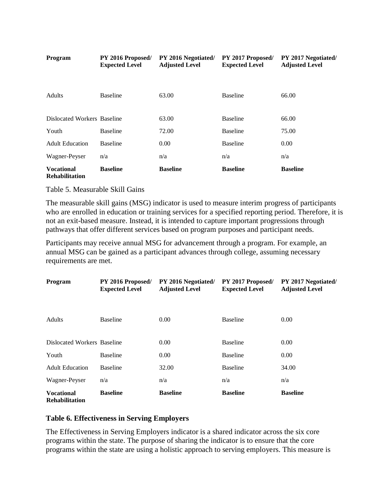| Program                                    | PY 2016 Proposed/<br><b>Expected Level</b> | PY 2016 Negotiated/<br><b>Adjusted Level</b> | PY 2017 Proposed/<br><b>Expected Level</b> | PY 2017 Negotiated/<br><b>Adjusted Level</b> |
|--------------------------------------------|--------------------------------------------|----------------------------------------------|--------------------------------------------|----------------------------------------------|
| Adults                                     | <b>Baseline</b>                            | 63.00                                        | <b>Baseline</b>                            | 66.00                                        |
| <b>Dislocated Workers Baseline</b>         |                                            | 63.00                                        | <b>Baseline</b>                            | 66.00                                        |
| Youth                                      | <b>Baseline</b>                            | 72.00                                        | <b>Baseline</b>                            | 75.00                                        |
| <b>Adult Education</b>                     | <b>Baseline</b>                            | 0.00                                         | <b>Baseline</b>                            | 0.00                                         |
| Wagner-Peyser                              | n/a                                        | n/a                                          | n/a                                        | n/a                                          |
| <b>Vocational</b><br><b>Rehabilitation</b> | <b>Baseline</b>                            | <b>Baseline</b>                              | <b>Baseline</b>                            | <b>Baseline</b>                              |

#### Table 5. Measurable Skill Gains

The measurable skill gains (MSG) indicator is used to measure interim progress of participants who are enrolled in education or training services for a specified reporting period. Therefore, it is not an exit-based measure. Instead, it is intended to capture important progressions through pathways that offer different services based on program purposes and participant needs.

Participants may receive annual MSG for advancement through a program. For example, an annual MSG can be gained as a participant advances through college, assuming necessary requirements are met.

| Program                                    | PY 2016 Proposed/<br><b>Expected Level</b> | <b>PY 2016 Negotiated/</b><br><b>Adjusted Level</b> | PY 2017 Proposed/<br><b>Expected Level</b> | <b>PY 2017 Negotiated/</b><br><b>Adjusted Level</b> |
|--------------------------------------------|--------------------------------------------|-----------------------------------------------------|--------------------------------------------|-----------------------------------------------------|
| Adults                                     | <b>Baseline</b>                            | 0.00                                                | <b>Baseline</b>                            | 0.00                                                |
| Dislocated Workers Baseline                |                                            | 0.00                                                | <b>Baseline</b>                            | 0.00                                                |
| Youth                                      | <b>Baseline</b>                            | 0.00                                                | <b>Baseline</b>                            | 0.00                                                |
| <b>Adult Education</b>                     | <b>Baseline</b>                            | 32.00                                               | <b>Baseline</b>                            | 34.00                                               |
| Wagner-Peyser                              | n/a                                        | n/a                                                 | n/a                                        | n/a                                                 |
| <b>Vocational</b><br><b>Rehabilitation</b> | <b>Baseline</b>                            | <b>Baseline</b>                                     | <b>Baseline</b>                            | <b>Baseline</b>                                     |

#### **Table 6. Effectiveness in Serving Employers**

The Effectiveness in Serving Employers indicator is a shared indicator across the six core programs within the state. The purpose of sharing the indicator is to ensure that the core programs within the state are using a holistic approach to serving employers. This measure is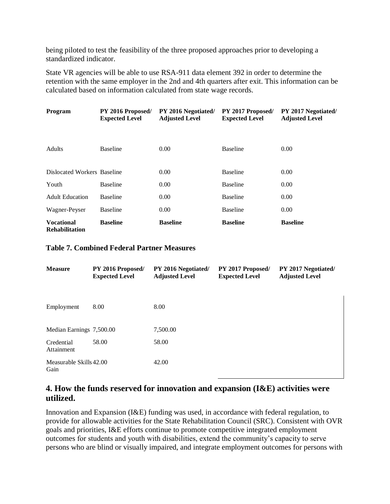being piloted to test the feasibility of the three proposed approaches prior to developing a standardized indicator.

State VR agencies will be able to use RSA-911 data element 392 in order to determine the retention with the same employer in the 2nd and 4th quarters after exit. This information can be calculated based on information calculated from state wage records.

| Program                                    | PY 2016 Proposed/<br><b>Expected Level</b> | PY 2016 Negotiated/<br><b>Adjusted Level</b> | PY 2017 Proposed/<br><b>Expected Level</b> | PY 2017 Negotiated/<br><b>Adjusted Level</b> |
|--------------------------------------------|--------------------------------------------|----------------------------------------------|--------------------------------------------|----------------------------------------------|
| <b>Adults</b>                              | <b>Baseline</b>                            | 0.00                                         | <b>Baseline</b>                            | 0.00                                         |
| Dislocated Workers Baseline                |                                            | 0.00                                         | <b>Baseline</b>                            | 0.00                                         |
| Youth                                      | <b>Baseline</b>                            | 0.00                                         | <b>Baseline</b>                            | 0.00                                         |
| <b>Adult Education</b>                     | <b>Baseline</b>                            | 0.00                                         | <b>Baseline</b>                            | 0.00                                         |
| Wagner-Peyser                              | <b>Baseline</b>                            | 0.00                                         | <b>Baseline</b>                            | 0.00                                         |
| <b>Vocational</b><br><b>Rehabilitation</b> | <b>Baseline</b>                            | <b>Baseline</b>                              | <b>Baseline</b>                            | <b>Baseline</b>                              |

#### **Table 7. Combined Federal Partner Measures**

| <b>Measure</b>                  | PY 2016 Proposed/<br><b>Expected Level</b> | <b>PY 2016 Negotiated/</b><br><b>Adjusted Level</b> | PY 2017 Proposed/<br><b>Expected Level</b> | <b>PY 2017 Negotiated/</b><br><b>Adjusted Level</b> |
|---------------------------------|--------------------------------------------|-----------------------------------------------------|--------------------------------------------|-----------------------------------------------------|
| Employment                      | 8.00                                       | 8.00                                                |                                            |                                                     |
| Median Earnings 7,500.00        |                                            | 7,500.00                                            |                                            |                                                     |
| Credential<br>Attainment        | 58.00                                      | 58.00                                               |                                            |                                                     |
| Measurable Skills 42.00<br>Gain |                                            | 42.00                                               |                                            |                                                     |

#### **4. How the funds reserved for innovation and expansion (I&E) activities were utilized.**

Innovation and Expansion (I&E) funding was used, in accordance with federal regulation, to provide for allowable activities for the State Rehabilitation Council (SRC). Consistent with OVR goals and priorities, I&E efforts continue to promote competitive integrated employment outcomes for students and youth with disabilities, extend the community's capacity to serve persons who are blind or visually impaired, and integrate employment outcomes for persons with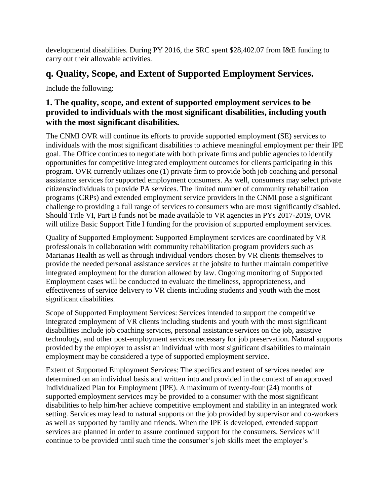developmental disabilities. During PY 2016, the SRC spent \$28,402.07 from I&E funding to carry out their allowable activities.

## **q. Quality, Scope, and Extent of Supported Employment Services.**

Include the following:

### **1. The quality, scope, and extent of supported employment services to be provided to individuals with the most significant disabilities, including youth with the most significant disabilities.**

The CNMI OVR will continue its efforts to provide supported employment (SE) services to individuals with the most significant disabilities to achieve meaningful employment per their IPE goal. The Office continues to negotiate with both private firms and public agencies to identify opportunities for competitive integrated employment outcomes for clients participating in this program. OVR currently utilizes one (1) private firm to provide both job coaching and personal assistance services for supported employment consumers. As well, consumers may select private citizens/individuals to provide PA services. The limited number of community rehabilitation programs (CRPs) and extended employment service providers in the CNMI pose a significant challenge to providing a full range of services to consumers who are most significantly disabled. Should Title VI, Part B funds not be made available to VR agencies in PYs 2017-2019, OVR will utilize Basic Support Title I funding for the provision of supported employment services.

Quality of Supported Employment: Supported Employment services are coordinated by VR professionals in collaboration with community rehabilitation program providers such as Marianas Health as well as through individual vendors chosen by VR clients themselves to provide the needed personal assistance services at the jobsite to further maintain competitive integrated employment for the duration allowed by law. Ongoing monitoring of Supported Employment cases will be conducted to evaluate the timeliness, appropriateness, and effectiveness of service delivery to VR clients including students and youth with the most significant disabilities.

Scope of Supported Employment Services: Services intended to support the competitive integrated employment of VR clients including students and youth with the most significant disabilities include job coaching services, personal assistance services on the job, assistive technology, and other post-employment services necessary for job preservation. Natural supports provided by the employer to assist an individual with most significant disabilities to maintain employment may be considered a type of supported employment service.

Extent of Supported Employment Services: The specifics and extent of services needed are determined on an individual basis and written into and provided in the context of an approved Individualized Plan for Employment (IPE). A maximum of twenty-four (24) months of supported employment services may be provided to a consumer with the most significant disabilities to help him/her achieve competitive employment and stability in an integrated work setting. Services may lead to natural supports on the job provided by supervisor and co-workers as well as supported by family and friends. When the IPE is developed, extended support services are planned in order to assure continued support for the consumers. Services will continue to be provided until such time the consumer's job skills meet the employer's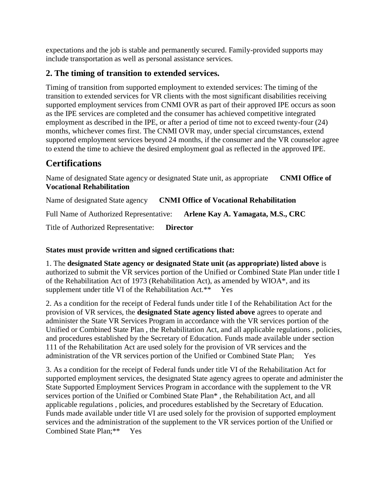expectations and the job is stable and permanently secured. Family-provided supports may include transportation as well as personal assistance services.

### **2. The timing of transition to extended services.**

Timing of transition from supported employment to extended services: The timing of the transition to extended services for VR clients with the most significant disabilities receiving supported employment services from CNMI OVR as part of their approved IPE occurs as soon as the IPE services are completed and the consumer has achieved competitive integrated employment as described in the IPE, or after a period of time not to exceed twenty-four (24) months, whichever comes first. The CNMI OVR may, under special circumstances, extend supported employment services beyond 24 months, if the consumer and the VR counselor agree to extend the time to achieve the desired employment goal as reflected in the approved IPE.

## **Certifications**

Name of designated State agency or designated State unit, as appropriate **CNMI Office of Vocational Rehabilitation**

Name of designated State agency **CNMI Office of Vocational Rehabilitation**

Full Name of Authorized Representative: **Arlene Kay A. Yamagata, M.S., CRC**

Title of Authorized Representative: **Director**

### **States must provide written and signed certifications that:**

1. The **designated State agency or designated State unit (as appropriate) listed above** is authorized to submit the VR services portion of the Unified or Combined State Plan under title I of the Rehabilitation Act of 1973 (Rehabilitation Act), as amended by WIOA\*, and its supplement under title VI of the Rehabilitation Act.\*\* Yes

2. As a condition for the receipt of Federal funds under title I of the Rehabilitation Act for the provision of VR services, the **designated State agency listed above** agrees to operate and administer the State VR Services Program in accordance with the VR services portion of the Unified or Combined State Plan , the Rehabilitation Act, and all applicable regulations , policies, and procedures established by the Secretary of Education. Funds made available under section 111 of the Rehabilitation Act are used solely for the provision of VR services and the administration of the VR services portion of the Unified or Combined State Plan; Yes

3. As a condition for the receipt of Federal funds under title VI of the Rehabilitation Act for supported employment services, the designated State agency agrees to operate and administer the State Supported Employment Services Program in accordance with the supplement to the VR services portion of the Unified or Combined State Plan\* , the Rehabilitation Act, and all applicable regulations , policies, and procedures established by the Secretary of Education. Funds made available under title VI are used solely for the provision of supported employment services and the administration of the supplement to the VR services portion of the Unified or Combined State Plan;\*\* Yes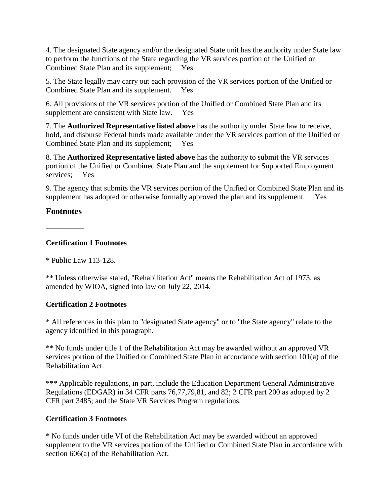4. The designated State agency and/or the designated State unit has the authority under State law to perform the functions of the State regarding the VR services portion of the Unified or Combined State Plan and its supplement; Yes

5. The State legally may carry out each provision of the VR services portion of the Unified or Combined State Plan and its supplement. Yes

6. All provisions of the VR services portion of the Unified or Combined State Plan and its supplement are consistent with State law. Yes

7. The **Authorized Representative listed above** has the authority under State law to receive, hold, and disburse Federal funds made available under the VR services portion of the Unified or Combined State Plan and its supplement; Yes

8. The **Authorized Representative listed above** has the authority to submit the VR services portion of the Unified or Combined State Plan and the supplement for Supported Employment services: Yes

9. The agency that submits the VR services portion of the Unified or Combined State Plan and its supplement has adopted or otherwise formally approved the plan and its supplement. Yes

#### **Footnotes**

\_\_\_\_\_\_\_\_\_\_

#### **Certification 1 Footnotes**

\* Public Law 113-128.

\*\* Unless otherwise stated, "Rehabilitation Act" means the Rehabilitation Act of 1973, as amended by WIOA, signed into law on July 22, 2014.

#### **Certification 2 Footnotes**

\* All references in this plan to "designated State agency" or to "the State agency" relate to the agency identified in this paragraph.

\*\* No funds under title 1 of the Rehabilitation Act may be awarded without an approved VR services portion of the Unified or Combined State Plan in accordance with section 101(a) of the Rehabilitation Act.

\*\*\* Applicable regulations, in part, include the Education Department General Administrative Regulations (EDGAR) in 34 CFR parts 76,77,79,81, and 82; 2 CFR part 200 as adopted by 2 CFR part 3485; and the State VR Services Program regulations.

#### **Certification 3 Footnotes**

\* No funds under title VI of the Rehabilitation Act may be awarded without an approved supplement to the VR services portion of the Unified or Combined State Plan in accordance with section 606(a) of the Rehabilitation Act.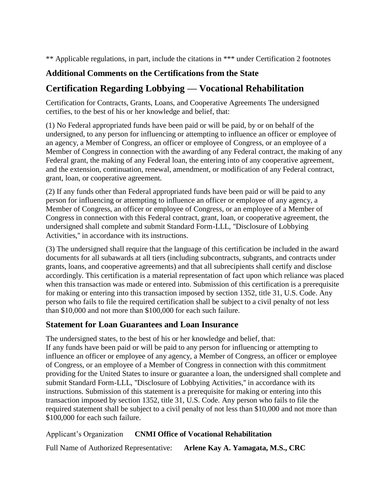\*\* Applicable regulations, in part, include the citations in \*\*\* under Certification 2 footnotes

### **Additional Comments on the Certifications from the State**

## **Certification Regarding Lobbying — Vocational Rehabilitation**

Certification for Contracts, Grants, Loans, and Cooperative Agreements The undersigned certifies, to the best of his or her knowledge and belief, that:

(1) No Federal appropriated funds have been paid or will be paid, by or on behalf of the undersigned, to any person for influencing or attempting to influence an officer or employee of an agency, a Member of Congress, an officer or employee of Congress, or an employee of a Member of Congress in connection with the awarding of any Federal contract, the making of any Federal grant, the making of any Federal loan, the entering into of any cooperative agreement, and the extension, continuation, renewal, amendment, or modification of any Federal contract, grant, loan, or cooperative agreement.

(2) If any funds other than Federal appropriated funds have been paid or will be paid to any person for influencing or attempting to influence an officer or employee of any agency, a Member of Congress, an officer or employee of Congress, or an employee of a Member of Congress in connection with this Federal contract, grant, loan, or cooperative agreement, the undersigned shall complete and submit Standard Form-LLL, ''Disclosure of Lobbying Activities,'' in accordance with its instructions.

(3) The undersigned shall require that the language of this certification be included in the award documents for all subawards at all tiers (including subcontracts, subgrants, and contracts under grants, loans, and cooperative agreements) and that all subrecipients shall certify and disclose accordingly. This certification is a material representation of fact upon which reliance was placed when this transaction was made or entered into. Submission of this certification is a prerequisite for making or entering into this transaction imposed by section 1352, title 31, U.S. Code. Any person who fails to file the required certification shall be subject to a civil penalty of not less than \$10,000 and not more than \$100,000 for each such failure.

#### **Statement for Loan Guarantees and Loan Insurance**

The undersigned states, to the best of his or her knowledge and belief, that: If any funds have been paid or will be paid to any person for influencing or attempting to influence an officer or employee of any agency, a Member of Congress, an officer or employee of Congress, or an employee of a Member of Congress in connection with this commitment providing for the United States to insure or guarantee a loan, the undersigned shall complete and submit Standard Form-LLL, ''Disclosure of Lobbying Activities,'' in accordance with its instructions. Submission of this statement is a prerequisite for making or entering into this transaction imposed by section 1352, title 31, U.S. Code. Any person who fails to file the required statement shall be subject to a civil penalty of not less than \$10,000 and not more than \$100,000 for each such failure.

Applicant's Organization **CNMI Office of Vocational Rehabilitation**

Full Name of Authorized Representative: **Arlene Kay A. Yamagata, M.S., CRC**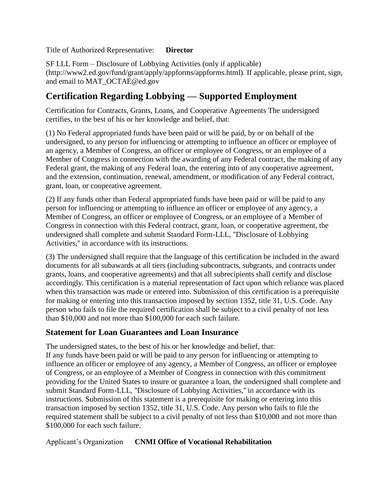Title of Authorized Representative: **Director**

SF LLL Form – Disclosure of Lobbying Activities (only if applicable) (http://www2.ed.gov/fund/grant/apply/appforms/appforms.html). If applicable, please print, sign, and email to MAT\_OCTAE@ed.gov

## **Certification Regarding Lobbying — Supported Employment**

Certification for Contracts, Grants, Loans, and Cooperative Agreements The undersigned certifies, to the best of his or her knowledge and belief, that:

(1) No Federal appropriated funds have been paid or will be paid, by or on behalf of the undersigned, to any person for influencing or attempting to influence an officer or employee of an agency, a Member of Congress, an officer or employee of Congress, or an employee of a Member of Congress in connection with the awarding of any Federal contract, the making of any Federal grant, the making of any Federal loan, the entering into of any cooperative agreement, and the extension, continuation, renewal, amendment, or modification of any Federal contract, grant, loan, or cooperative agreement.

(2) If any funds other than Federal appropriated funds have been paid or will be paid to any person for influencing or attempting to influence an officer or employee of any agency, a Member of Congress, an officer or employee of Congress, or an employee of a Member of Congress in connection with this Federal contract, grant, loan, or cooperative agreement, the undersigned shall complete and submit Standard Form-LLL, ''Disclosure of Lobbying Activities,'' in accordance with its instructions.

(3) The undersigned shall require that the language of this certification be included in the award documents for all subawards at all tiers (including subcontracts, subgrants, and contracts under grants, loans, and cooperative agreements) and that all subrecipients shall certify and disclose accordingly. This certification is a material representation of fact upon which reliance was placed when this transaction was made or entered into. Submission of this certification is a prerequisite for making or entering into this transaction imposed by section 1352, title 31, U.S. Code. Any person who fails to file the required certification shall be subject to a civil penalty of not less than \$10,000 and not more than \$100,000 for each such failure.

#### **Statement for Loan Guarantees and Loan Insurance**

The undersigned states, to the best of his or her knowledge and belief, that: If any funds have been paid or will be paid to any person for influencing or attempting to influence an officer or employee of any agency, a Member of Congress, an officer or employee of Congress, or an employee of a Member of Congress in connection with this commitment providing for the United States to insure or guarantee a loan, the undersigned shall complete and submit Standard Form-LLL, "Disclosure of Lobbying Activities," in accordance with its instructions. Submission of this statement is a prerequisite for making or entering into this transaction imposed by section 1352, title 31, U.S. Code. Any person who fails to file the required statement shall be subject to a civil penalty of not less than \$10,000 and not more than \$100,000 for each such failure.

Applicant's Organization **CNMI Office of Vocational Rehabilitation**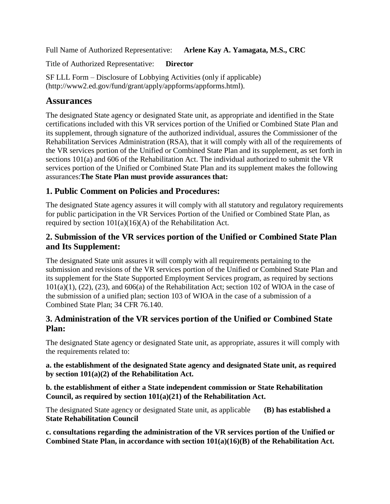Full Name of Authorized Representative: **Arlene Kay A. Yamagata, M.S., CRC**

Title of Authorized Representative: **Director**

SF LLL Form – Disclosure of Lobbying Activities (only if applicable) (http://www2.ed.gov/fund/grant/apply/appforms/appforms.html).

### **Assurances**

The designated State agency or designated State unit, as appropriate and identified in the State certifications included with this VR services portion of the Unified or Combined State Plan and its supplement, through signature of the authorized individual, assures the Commissioner of the Rehabilitation Services Administration (RSA), that it will comply with all of the requirements of the VR services portion of the Unified or Combined State Plan and its supplement, as set forth in sections 101(a) and 606 of the Rehabilitation Act. The individual authorized to submit the VR services portion of the Unified or Combined State Plan and its supplement makes the following assurances:**The State Plan must provide assurances that:**

### **1. Public Comment on Policies and Procedures:**

The designated State agency assures it will comply with all statutory and regulatory requirements for public participation in the VR Services Portion of the Unified or Combined State Plan, as required by section  $101(a)(16)(A)$  of the Rehabilitation Act.

### **2. Submission of the VR services portion of the Unified or Combined State Plan and Its Supplement:**

The designated State unit assures it will comply with all requirements pertaining to the submission and revisions of the VR services portion of the Unified or Combined State Plan and its supplement for the State Supported Employment Services program, as required by sections  $101(a)(1)$ ,  $(22)$ ,  $(23)$ , and  $606(a)$  of the Rehabilitation Act; section 102 of WIOA in the case of the submission of a unified plan; section 103 of WIOA in the case of a submission of a Combined State Plan; 34 CFR 76.140.

### **3. Administration of the VR services portion of the Unified or Combined State Plan:**

The designated State agency or designated State unit, as appropriate, assures it will comply with the requirements related to:

#### **a. the establishment of the designated State agency and designated State unit, as required by section 101(a)(2) of the Rehabilitation Act.**

**b. the establishment of either a State independent commission or State Rehabilitation Council, as required by section 101(a)(21) of the Rehabilitation Act.** 

The designated State agency or designated State unit, as applicable **(B) has established a State Rehabilitation Council**

**c. consultations regarding the administration of the VR services portion of the Unified or Combined State Plan, in accordance with section 101(a)(16)(B) of the Rehabilitation Act.**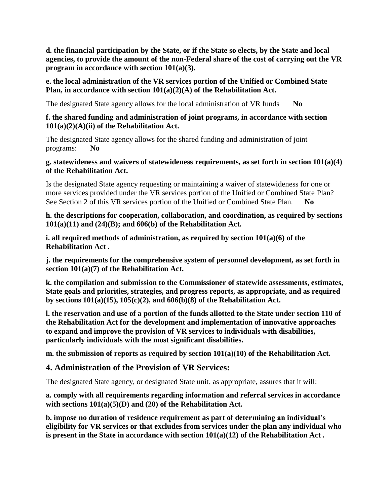**d. the financial participation by the State, or if the State so elects, by the State and local agencies, to provide the amount of the non-Federal share of the cost of carrying out the VR program in accordance with section 101(a)(3).**

**e. the local administration of the VR services portion of the Unified or Combined State Plan, in accordance with section 101(a)(2)(A) of the Rehabilitation Act.**

The designated State agency allows for the local administration of VR funds **No**

#### **f. the shared funding and administration of joint programs, in accordance with section 101(a)(2)(A)(ii) of the Rehabilitation Act.**

The designated State agency allows for the shared funding and administration of joint programs: **No**

**g. statewideness and waivers of statewideness requirements, as set forth in section 101(a)(4) of the Rehabilitation Act.**

Is the designated State agency requesting or maintaining a waiver of statewideness for one or more services provided under the VR services portion of the Unified or Combined State Plan? See Section 2 of this VR services portion of the Unified or Combined State Plan. **No**

**h. the descriptions for cooperation, collaboration, and coordination, as required by sections 101(a)(11) and (24)(B); and 606(b) of the Rehabilitation Act.**

**i. all required methods of administration, as required by section 101(a)(6) of the Rehabilitation Act .**

**j. the requirements for the comprehensive system of personnel development, as set forth in section 101(a)(7) of the Rehabilitation Act.**

**k. the compilation and submission to the Commissioner of statewide assessments, estimates, State goals and priorities, strategies, and progress reports, as appropriate, and as required by sections 101(a)(15), 105(c)(2), and 606(b)(8) of the Rehabilitation Act.**

**l. the reservation and use of a portion of the funds allotted to the State under section 110 of the Rehabilitation Act for the development and implementation of innovative approaches to expand and improve the provision of VR services to individuals with disabilities, particularly individuals with the most significant disabilities.**

**m. the submission of reports as required by section 101(a)(10) of the Rehabilitation Act.**

#### **4. Administration of the Provision of VR Services:**

The designated State agency, or designated State unit, as appropriate, assures that it will:

**a. comply with all requirements regarding information and referral services in accordance with sections 101(a)(5)(D) and (20) of the Rehabilitation Act.**

**b. impose no duration of residence requirement as part of determining an individual's eligibility for VR services or that excludes from services under the plan any individual who is present in the State in accordance with section 101(a)(12) of the Rehabilitation Act .**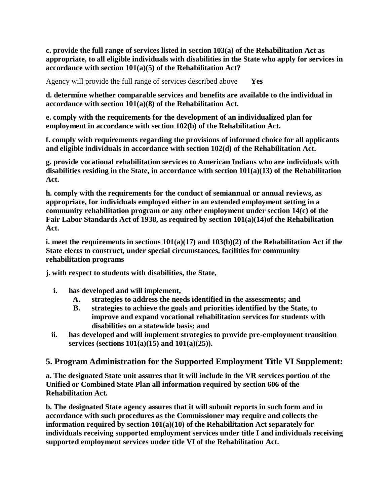**c. provide the full range of services listed in section 103(a) of the Rehabilitation Act as appropriate, to all eligible individuals with disabilities in the State who apply for services in accordance with section 101(a)(5) of the Rehabilitation Act?**

Agency will provide the full range of services described above **Yes**

**d. determine whether comparable services and benefits are available to the individual in accordance with section 101(a)(8) of the Rehabilitation Act.**

**e. comply with the requirements for the development of an individualized plan for employment in accordance with section 102(b) of the Rehabilitation Act.**

**f. comply with requirements regarding the provisions of informed choice for all applicants and eligible individuals in accordance with section 102(d) of the Rehabilitation Act.**

**g. provide vocational rehabilitation services to American Indians who are individuals with disabilities residing in the State, in accordance with section 101(a)(13) of the Rehabilitation Act.**

**h. comply with the requirements for the conduct of semiannual or annual reviews, as appropriate, for individuals employed either in an extended employment setting in a community rehabilitation program or any other employment under section 14(c) of the Fair Labor Standards Act of 1938, as required by section 101(a)(14)of the Rehabilitation Act.**

**i. meet the requirements in sections 101(a)(17) and 103(b)(2) of the Rehabilitation Act if the State elects to construct, under special circumstances, facilities for community rehabilitation programs**

**j. with respect to students with disabilities, the State,** 

- **i. has developed and will implement,**
	- **A. strategies to address the needs identified in the assessments; and**
	- **B. strategies to achieve the goals and priorities identified by the State, to improve and expand vocational rehabilitation services for students with disabilities on a statewide basis; and**
- **ii. has developed and will implement strategies to provide pre-employment transition services (sections 101(a)(15) and 101(a)(25)).**

#### **5. Program Administration for the Supported Employment Title VI Supplement:**

**a. The designated State unit assures that it will include in the VR services portion of the Unified or Combined State Plan all information required by section 606 of the Rehabilitation Act.**

**b. The designated State agency assures that it will submit reports in such form and in accordance with such procedures as the Commissioner may require and collects the information required by section 101(a)(10) of the Rehabilitation Act separately for individuals receiving supported employment services under title I and individuals receiving supported employment services under title VI of the Rehabilitation Act.**